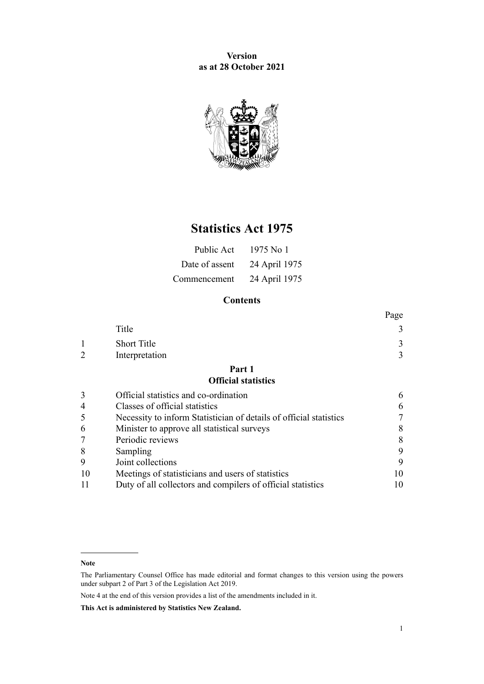**Version as at 28 October 2021**



# **Statistics Act 1975**

| Public Act     | 1975 No 1     |
|----------------|---------------|
| Date of assent | 24 April 1975 |
| Commencement   | 24 April 1975 |

# **Contents**

|                |                                                                    | Page |
|----------------|--------------------------------------------------------------------|------|
|                | Title                                                              | 3    |
|                | <b>Short Title</b>                                                 | 3    |
|                | Interpretation                                                     | 3    |
|                | Part 1                                                             |      |
|                | <b>Official statistics</b>                                         |      |
| 3              | Official statistics and co-ordination                              | 6    |
| $\overline{4}$ | Classes of official statistics                                     | 6    |
| 5              | Necessity to inform Statistician of details of official statistics |      |
| 6              | Minister to approve all statistical surveys                        | 8    |
|                | Periodic reviews                                                   | 8    |
| 8              | Sampling                                                           | 9    |
| 9              | Joint collections                                                  | 9    |
| 10             | Meetings of statisticians and users of statistics                  | 10   |
| 11             | Duty of all collectors and compilers of official statistics        | 10   |
|                |                                                                    |      |

**Note**

Note 4 at the end of this version provides a list of the amendments included in it.

**This Act is administered by Statistics New Zealand.**

The Parliamentary Counsel Office has made editorial and format changes to this version using the powers under [subpart 2](http://legislation.govt.nz/pdflink.aspx?id=DLM7298371) of Part 3 of the Legislation Act 2019.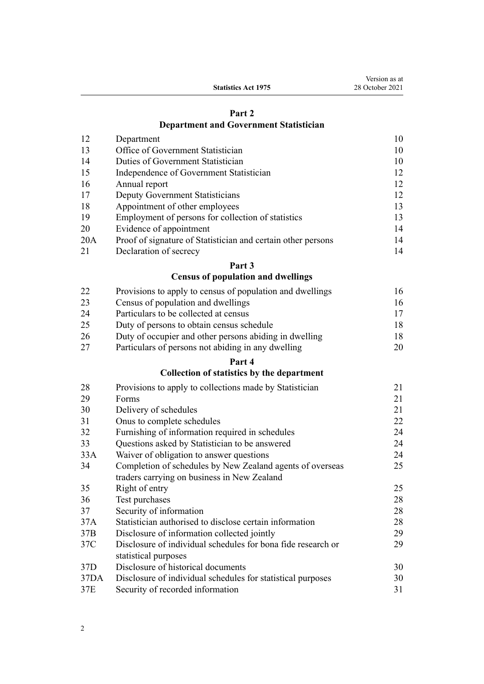| Version as at   |
|-----------------|
| 28 October 2021 |

**Statistics Act 1975**

# **[Part 2](#page-9-0) [Department and Government Statistician](#page-9-0)**

| 12  | Department                                                   | 10 |
|-----|--------------------------------------------------------------|----|
| 13  | Office of Government Statistician                            | 10 |
| 14  | Duties of Government Statistician                            | 10 |
| 15  | Independence of Government Statistician                      | 12 |
| 16  | Annual report                                                | 12 |
| 17  | Deputy Government Statisticians                              | 12 |
| 18  | Appointment of other employees                               | 13 |
| 19  | Employment of persons for collection of statistics           | 13 |
| 20  | Evidence of appointment                                      | 14 |
| 20A | Proof of signature of Statistician and certain other persons | 14 |
| 21  | Declaration of secrecy                                       | 14 |

# **[Part 3](#page-15-0)**

# **[Census of population and dwellings](#page-15-0)**

| 22 | Provisions to apply to census of population and dwellings | 16 |
|----|-----------------------------------------------------------|----|
| 23 | Census of population and dwellings                        | 16 |
| 24 | Particulars to be collected at census                     | 17 |
| 25 | Duty of persons to obtain census schedule                 | 18 |
| 26 | Duty of occupier and other persons abiding in dwelling    | 18 |
| 27 | Particulars of persons not abiding in any dwelling        | 20 |

# **[Part 4](#page-20-0)**

# **[Collection of statistics by the department](#page-20-0)**

| 28              | Provisions to apply to collections made by Statistician      | 21 |
|-----------------|--------------------------------------------------------------|----|
| 29              | Forms                                                        | 21 |
| 30              | Delivery of schedules                                        | 21 |
| 31              | Onus to complete schedules                                   | 22 |
| 32              | Furnishing of information required in schedules              | 24 |
| 33              | Questions asked by Statistician to be answered               | 24 |
| 33A             | Waiver of obligation to answer questions                     | 24 |
| 34              | Completion of schedules by New Zealand agents of overseas    | 25 |
|                 | traders carrying on business in New Zealand                  |    |
| 35              | Right of entry                                               | 25 |
| 36              | Test purchases                                               | 28 |
| 37              | Security of information                                      | 28 |
| 37A             | Statistician authorised to disclose certain information      | 28 |
| 37B             | Disclosure of information collected jointly                  | 29 |
| 37C             | Disclosure of individual schedules for bona fide research or | 29 |
|                 | statistical purposes                                         |    |
| 37 <sub>D</sub> | Disclosure of historical documents                           | 30 |
| 37DA            | Disclosure of individual schedules for statistical purposes  | 30 |
| 37E             | Security of recorded information                             | 31 |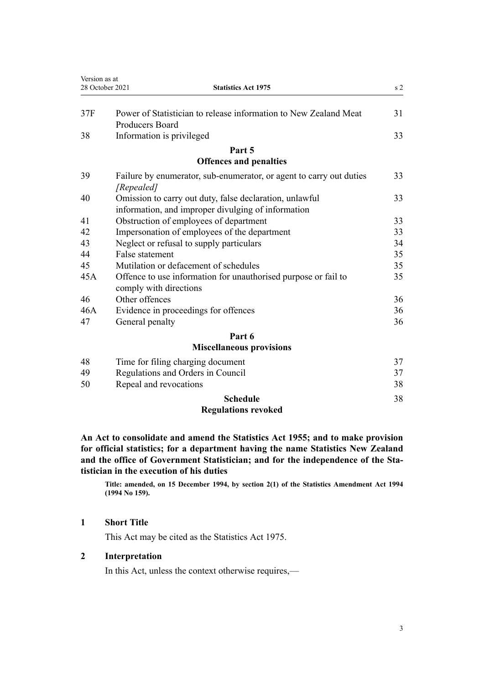<span id="page-2-0"></span>

| Version as at   |                                                                                                               |                |
|-----------------|---------------------------------------------------------------------------------------------------------------|----------------|
| 28 October 2021 | <b>Statistics Act 1975</b>                                                                                    | s <sub>2</sub> |
| 37F             | Power of Statistician to release information to New Zealand Meat<br><b>Producers Board</b>                    | 31             |
| 38              | Information is privileged                                                                                     | 33             |
|                 | Part 5                                                                                                        |                |
|                 | <b>Offences and penalties</b>                                                                                 |                |
| 39              | Failure by enumerator, sub-enumerator, or agent to carry out duties<br>[Repealed]                             | 33             |
| 40              | Omission to carry out duty, false declaration, unlawful<br>information, and improper divulging of information | 33             |
| 41              | Obstruction of employees of department                                                                        | 33             |
| 42              | Impersonation of employees of the department                                                                  | 33             |
| 43              | Neglect or refusal to supply particulars                                                                      | 34             |
| 44              | False statement                                                                                               | 35             |
| 45              | Mutilation or defacement of schedules                                                                         | 35             |
| 45A             | Offence to use information for unauthorised purpose or fail to<br>comply with directions                      | 35             |
| 46              | Other offences                                                                                                | 36             |
| 46A             | Evidence in proceedings for offences                                                                          | 36             |
| 47              | General penalty                                                                                               | 36             |
|                 | Part 6                                                                                                        |                |
|                 | Miscellaneous provisions                                                                                      |                |

# **[Miscellaneous provisions](#page-36-0)**

|    | <b>Regulations revoked</b>        |    |
|----|-----------------------------------|----|
|    | <b>Schedule</b>                   | 38 |
| 50 | Repeal and revocations            | 38 |
| 49 | Regulations and Orders in Council | 37 |
| 48 | Time for filing charging document | 37 |

**An Act to consolidate and amend the Statistics Act 1955; and to make provision for official statistics; for a department having the name Statistics New Zealand and the office of Government Statistician; and for the independence of the Sta‐ tistician in the execution of his duties**

**Title: amended, on 15 December 1994, by [section 2\(1\)](http://legislation.govt.nz/pdflink.aspx?id=DLM347442) of the Statistics Amendment Act 1994 (1994 No 159).**

# **1 Short Title**

This Act may be cited as the Statistics Act 1975.

# **2 Interpretation**

In this Act, unless the context otherwise requires,—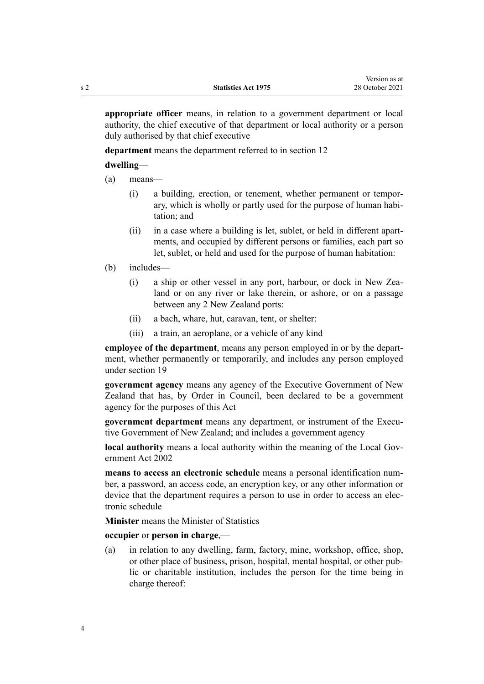**appropriate officer** means, in relation to a government department or local authority, the chief executive of that department or local authority or a person duly authorised by that chief executive

**department** means the department referred to in [section 12](#page-9-0)

**dwelling**—

(a) means—

- (i) a building, erection, or tenement, whether permanent or tempor‐ ary, which is wholly or partly used for the purpose of human habi‐ tation; and
- (ii) in a case where a building is let, sublet, or held in different apartments, and occupied by different persons or families, each part so let, sublet, or held and used for the purpose of human habitation:
- (b) includes—
	- (i) a ship or other vessel in any port, harbour, or dock in New Zealand or on any river or lake therein, or ashore, or on a passage between any 2 New Zealand ports:
	- (ii) a bach, whare, hut, caravan, tent, or shelter:
	- (iii) a train, an aeroplane, or a vehicle of any kind

**employee of the department**, means any person employed in or by the depart‐ ment, whether permanently or temporarily, and includes any person employed under [section 19](#page-12-0)

**government agency** means any agency of the Executive Government of New Zealand that has, by Order in Council, been declared to be a government agency for the purposes of this Act

**government department** means any department, or instrument of the Executive Government of New Zealand; and includes a government agency

**local authority** means a local authority within the meaning of the Local Gov[ernment Act 2002](http://legislation.govt.nz/pdflink.aspx?id=DLM170872)

**means to access an electronic schedule** means a personal identification num‐ ber, a password, an access code, an encryption key, or any other information or device that the department requires a person to use in order to access an electronic schedule

**Minister** means the Minister of Statistics

**occupier** or **person in charge**,—

(a) in relation to any dwelling, farm, factory, mine, workshop, office, shop, or other place of business, prison, hospital, mental hospital, or other pub‐ lic or charitable institution, includes the person for the time being in charge thereof: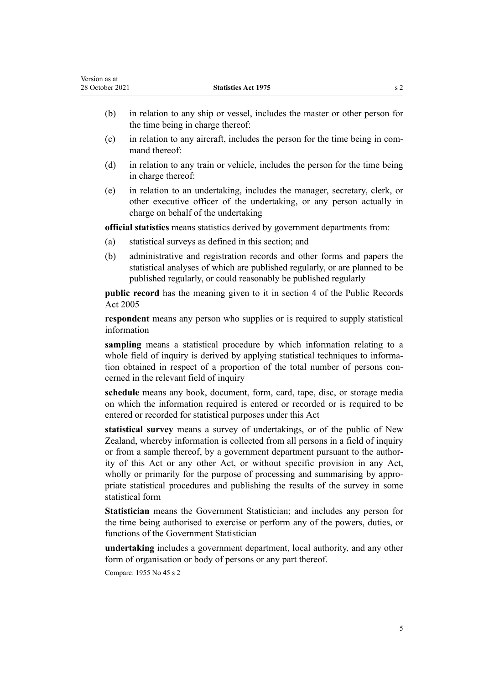- (b) in relation to any ship or vessel, includes the master or other person for the time being in charge thereof:
- $(c)$  in relation to any aircraft, includes the person for the time being in command thereof:
- (d) in relation to any train or vehicle, includes the person for the time being in charge thereof:
- (e) in relation to an undertaking, includes the manager, secretary, clerk, or other executive officer of the undertaking, or any person actually in charge on behalf of the undertaking

**official statistics** means statistics derived by government departments from:

- (a) statistical surveys as defined in this section; and
- (b) administrative and registration records and other forms and papers the statistical analyses of which are published regularly, or are planned to be published regularly, or could reasonably be published regularly

**public record** has the meaning given to it in [section 4](http://legislation.govt.nz/pdflink.aspx?id=DLM345537) of the Public Records Act 2005

**respondent** means any person who supplies or is required to supply statistical information

**sampling** means a statistical procedure by which information relating to a whole field of inquiry is derived by applying statistical techniques to information obtained in respect of a proportion of the total number of persons concerned in the relevant field of inquiry

**schedule** means any book, document, form, card, tape, disc, or storage media on which the information required is entered or recorded or is required to be entered or recorded for statistical purposes under this Act

**statistical survey** means a survey of undertakings, or of the public of New Zealand, whereby information is collected from all persons in a field of inquiry or from a sample thereof, by a government department pursuant to the author‐ ity of this Act or any other Act, or without specific provision in any Act, wholly or primarily for the purpose of processing and summarising by appropriate statistical procedures and publishing the results of the survey in some statistical form

**Statistician** means the Government Statistician; and includes any person for the time being authorised to exercise or perform any of the powers, duties, or functions of the Government Statistician

**undertaking** includes a government department, local authority, and any other form of organisation or body of persons or any part thereof.

Compare: 1955 No 45 s 2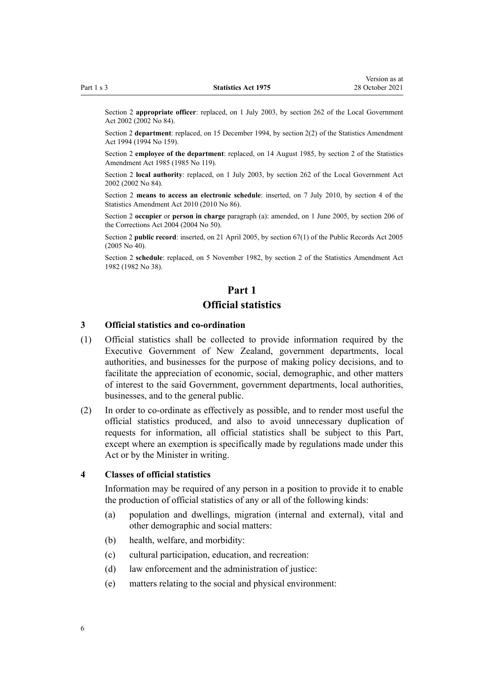<span id="page-5-0"></span>Section 2 **appropriate officer**: replaced, on 1 July 2003, by [section 262](http://legislation.govt.nz/pdflink.aspx?id=DLM174088) of the Local Government Act 2002 (2002 No 84).

Section 2 **department**: replaced, on 15 December 1994, by [section 2\(2\)](http://legislation.govt.nz/pdflink.aspx?id=DLM347442) of the Statistics Amendment Act 1994 (1994 No 159).

Section 2 **employee of the department**: replaced, on 14 August 1985, by section 2 of the Statistics Amendment Act 1985 (1985 No 119).

Section 2 **local authority**: replaced, on 1 July 2003, by [section 262](http://legislation.govt.nz/pdflink.aspx?id=DLM174088) of the Local Government Act 2002 (2002 No 84).

Section 2 **means to access an electronic schedule**: inserted, on 7 July 2010, by [section 4](http://legislation.govt.nz/pdflink.aspx?id=DLM3044405) of the Statistics Amendment Act 2010 (2010 No 86).

Section 2 **occupier** or **person in charge** paragraph (a): amended, on 1 June 2005, by [section 206](http://legislation.govt.nz/pdflink.aspx?id=DLM297136) of the Corrections Act 2004 (2004 No 50).

Section 2 **public record**: inserted, on 21 April 2005, by [section 67\(1\)](http://legislation.govt.nz/pdflink.aspx?id=DLM346105) of the Public Records Act 2005 (2005 No 40).

Section 2 **schedule**: replaced, on 5 November 1982, by section 2 of the Statistics Amendment Act 1982 (1982 No 38).

# **Part 1 Official statistics**

### **3 Official statistics and co-ordination**

- (1) Official statistics shall be collected to provide information required by the Executive Government of New Zealand, government departments, local authorities, and businesses for the purpose of making policy decisions, and to facilitate the appreciation of economic, social, demographic, and other matters of interest to the said Government, government departments, local authorities, businesses, and to the general public.
- (2) In order to co-ordinate as effectively as possible, and to render most useful the official statistics produced, and also to avoid unnecessary duplication of requests for information, all official statistics shall be subject to this Part, except where an exemption is specifically made by regulations made under this Act or by the Minister in writing.

## **4 Classes of official statistics**

Information may be required of any person in a position to provide it to enable the production of official statistics of any or all of the following kinds:

- (a) population and dwellings, migration (internal and external), vital and other demographic and social matters:
- (b) health, welfare, and morbidity:
- (c) cultural participation, education, and recreation:
- (d) law enforcement and the administration of justice:
- (e) matters relating to the social and physical environment: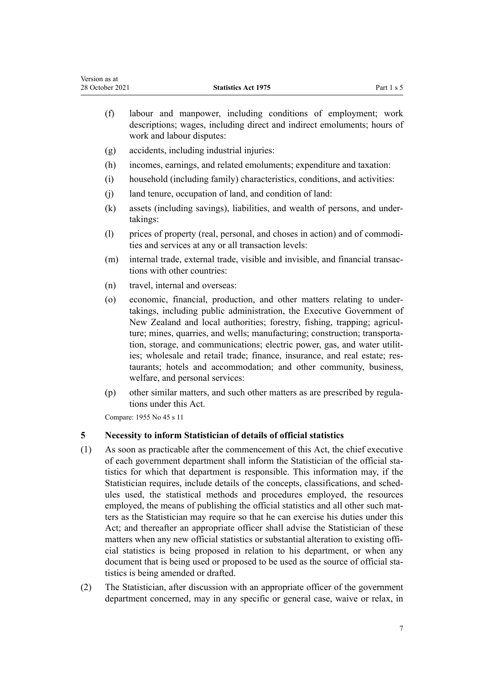- <span id="page-6-0"></span>(f) labour and manpower, including conditions of employment; work descriptions; wages, including direct and indirect emoluments; hours of work and labour disputes:
- (g) accidents, including industrial injuries:
- (h) incomes, earnings, and related emoluments; expenditure and taxation:
- (i) household (including family) characteristics, conditions, and activities:
- (j) land tenure, occupation of land, and condition of land:
- (k) assets (including savings), liabilities, and wealth of persons, and under‐ takings:
- (l) prices of property (real, personal, and choses in action) and of commodi‐ ties and services at any or all transaction levels:
- (m) internal trade, external trade, visible and invisible, and financial transactions with other countries:
- (n) travel, internal and overseas:
- (o) economic, financial, production, and other matters relating to under‐ takings, including public administration, the Executive Government of New Zealand and local authorities; forestry, fishing, trapping; agricul‐ ture; mines, quarries, and wells; manufacturing; construction; transportation, storage, and communications; electric power, gas, and water utilities; wholesale and retail trade; finance, insurance, and real estate; restaurants; hotels and accommodation; and other community, business, welfare, and personal services:
- (p) other similar matters, and such other matters as are prescribed by regula‐ tions under this Act.

Compare: 1955 No 45 s 11

# **5 Necessity to inform Statistician of details of official statistics**

- (1) As soon as practicable after the commencement of this Act, the chief executive of each government department shall inform the Statistician of the official statistics for which that department is responsible. This information may, if the Statistician requires, include details of the concepts, classifications, and sched‐ ules used, the statistical methods and procedures employed, the resources employed, the means of publishing the official statistics and all other such matters as the Statistician may require so that he can exercise his duties under this Act; and thereafter an appropriate officer shall advise the Statistician of these matters when any new official statistics or substantial alteration to existing official statistics is being proposed in relation to his department, or when any document that is being used or proposed to be used as the source of official statistics is being amended or drafted.
- (2) The Statistician, after discussion with an appropriate officer of the government department concerned, may in any specific or general case, waive or relax, in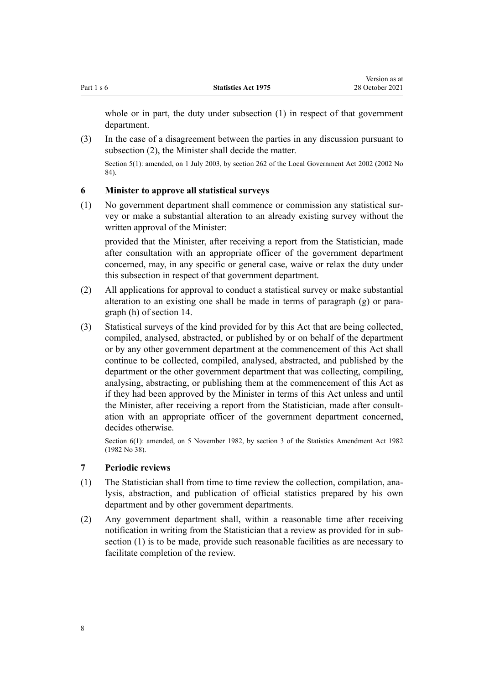<span id="page-7-0"></span>whole or in part, the duty under subsection (1) in respect of that government department.

(3) In the case of a disagreement between the parties in any discussion pursuant to subsection (2), the Minister shall decide the matter.

Section 5(1): amended, on 1 July 2003, by [section 262](http://legislation.govt.nz/pdflink.aspx?id=DLM174088) of the Local Government Act 2002 (2002 No 84).

# **6 Minister to approve all statistical surveys**

(1) No government department shall commence or commission any statistical sur‐ vey or make a substantial alteration to an already existing survey without the written approval of the Minister:

provided that the Minister, after receiving a report from the Statistician, made after consultation with an appropriate officer of the government department concerned, may, in any specific or general case, waive or relax the duty under this subsection in respect of that government department.

- (2) All applications for approval to conduct a statistical survey or make substantial alteration to an existing one shall be made in terms of paragraph  $(g)$  or paragraph (h) of [section 14.](#page-9-0)
- (3) Statistical surveys of the kind provided for by this Act that are being collected, compiled, analysed, abstracted, or published by or on behalf of the department or by any other government department at the commencement of this Act shall continue to be collected, compiled, analysed, abstracted, and published by the department or the other government department that was collecting, compiling, analysing, abstracting, or publishing them at the commencement of this Act as if they had been approved by the Minister in terms of this Act unless and until the Minister, after receiving a report from the Statistician, made after consultation with an appropriate officer of the government department concerned, decides otherwise.

Section 6(1): amended, on 5 November 1982, by section 3 of the Statistics Amendment Act 1982 (1982 No 38).

## **7 Periodic reviews**

- (1) The Statistician shall from time to time review the collection, compilation, ana‐ lysis, abstraction, and publication of official statistics prepared by his own department and by other government departments.
- (2) Any government department shall, within a reasonable time after receiving notification in writing from the Statistician that a review as provided for in sub‐ section (1) is to be made, provide such reasonable facilities as are necessary to facilitate completion of the review.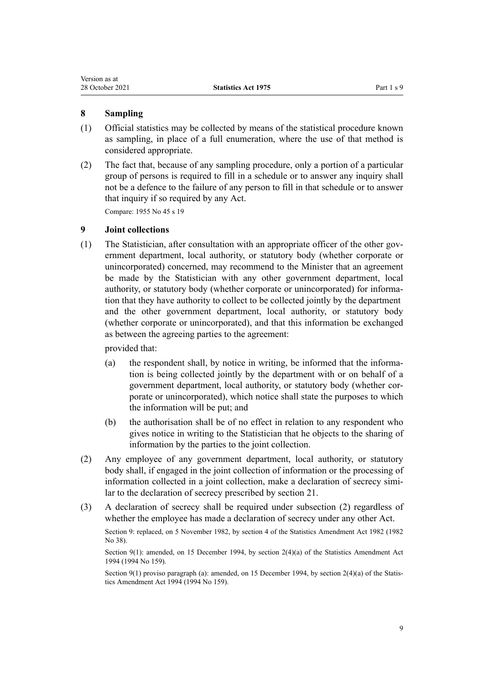# <span id="page-8-0"></span>**8 Sampling**

- (1) Official statistics may be collected by means of the statistical procedure known as sampling, in place of a full enumeration, where the use of that method is considered appropriate.
- (2) The fact that, because of any sampling procedure, only a portion of a particular group of persons is required to fill in a schedule or to answer any inquiry shall not be a defence to the failure of any person to fill in that schedule or to answer that inquiry if so required by any Act.

Compare: 1955 No 45 s 19

# **9 Joint collections**

(1) The Statistician, after consultation with an appropriate officer of the other government department, local authority, or statutory body (whether corporate or unincorporated) concerned, may recommend to the Minister that an agreement be made by the Statistician with any other government department, local authority, or statutory body (whether corporate or unincorporated) for informa‐ tion that they have authority to collect to be collected jointly by the department and the other government department, local authority, or statutory body (whether corporate or unincorporated), and that this information be exchanged as between the agreeing parties to the agreement:

provided that:

- (a) the respondent shall, by notice in writing, be informed that the information is being collected jointly by the department with or on behalf of a government department, local authority, or statutory body (whether cor‐ porate or unincorporated), which notice shall state the purposes to which the information will be put; and
- (b) the authorisation shall be of no effect in relation to any respondent who gives notice in writing to the Statistician that he objects to the sharing of information by the parties to the joint collection.
- (2) Any employee of any government department, local authority, or statutory body shall, if engaged in the joint collection of information or the processing of information collected in a joint collection, make a declaration of secrecy similar to the declaration of secrecy prescribed by [section 21.](#page-13-0)
- (3) A declaration of secrecy shall be required under subsection (2) regardless of whether the employee has made a declaration of secrecy under any other Act.

Section 9: replaced, on 5 November 1982, by section 4 of the Statistics Amendment Act 1982 (1982 No 38).

Section 9(1): amended, on 15 December 1994, by [section 2\(4\)\(a\)](http://legislation.govt.nz/pdflink.aspx?id=DLM347442) of the Statistics Amendment Act 1994 (1994 No 159).

Section 9(1) proviso paragraph (a): amended, on 15 December 1994, by [section 2\(4\)\(a\)](http://legislation.govt.nz/pdflink.aspx?id=DLM347442) of the Statistics Amendment Act 1994 (1994 No 159).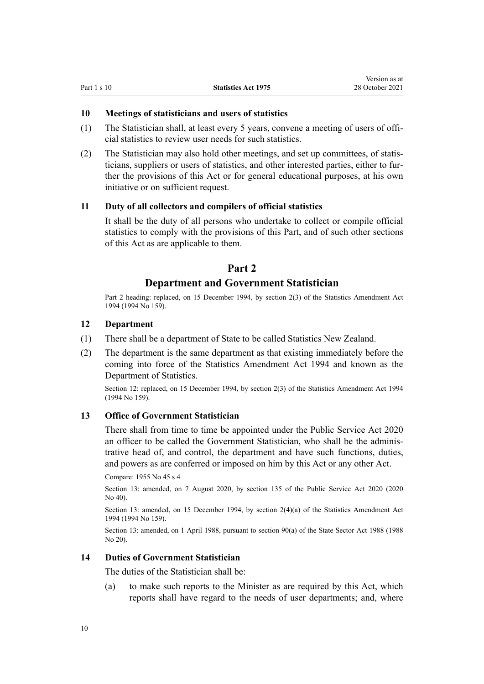Version as at

## <span id="page-9-0"></span>**10 Meetings of statisticians and users of statistics**

- (1) The Statistician shall, at least every 5 years, convene a meeting of users of offi‐ cial statistics to review user needs for such statistics.
- (2) The Statistician may also hold other meetings, and set up committees, of statis‐ ticians, suppliers or users of statistics, and other interested parties, either to fur‐ ther the provisions of this Act or for general educational purposes, at his own initiative or on sufficient request.

## **11 Duty of all collectors and compilers of official statistics**

It shall be the duty of all persons who undertake to collect or compile official statistics to comply with the provisions of this Part, and of such other sections of this Act as are applicable to them.

# **Part 2**

# **Department and Government Statistician**

Part 2 heading: replaced, on 15 December 1994, by [section 2\(3\)](http://legislation.govt.nz/pdflink.aspx?id=DLM347442) of the Statistics Amendment Act 1994 (1994 No 159).

# **12 Department**

- (1) There shall be a department of State to be called Statistics New Zealand.
- (2) The department is the same department as that existing immediately before the coming into force of the [Statistics Amendment Act 1994](http://legislation.govt.nz/pdflink.aspx?id=DLM347436) and known as the Department of Statistics.

Section 12: replaced, on 15 December 1994, by [section 2\(3\)](http://legislation.govt.nz/pdflink.aspx?id=DLM347442) of the Statistics Amendment Act 1994 (1994 No 159).

# **13 Office of Government Statistician**

There shall from time to time be appointed under the [Public Service Act 2020](http://legislation.govt.nz/pdflink.aspx?id=LMS106157) an officer to be called the Government Statistician, who shall be the adminis‐ trative head of, and control, the department and have such functions, duties, and powers as are conferred or imposed on him by this Act or any other Act.

Compare: 1955 No 45 s 4

Section 13: amended, on 7 August 2020, by [section 135](http://legislation.govt.nz/pdflink.aspx?id=LMS176959) of the Public Service Act 2020 (2020 No 40).

Section 13: amended, on 15 December 1994, by [section 2\(4\)\(a\)](http://legislation.govt.nz/pdflink.aspx?id=DLM347442) of the Statistics Amendment Act 1994 (1994 No 159).

Section 13: amended, on 1 April 1988, pursuant to [section 90\(a\)](http://legislation.govt.nz/pdflink.aspx?id=DLM130377) of the State Sector Act 1988 (1988 No 20).

#### **14 Duties of Government Statistician**

The duties of the Statistician shall be:

(a) to make such reports to the Minister as are required by this Act, which reports shall have regard to the needs of user departments; and, where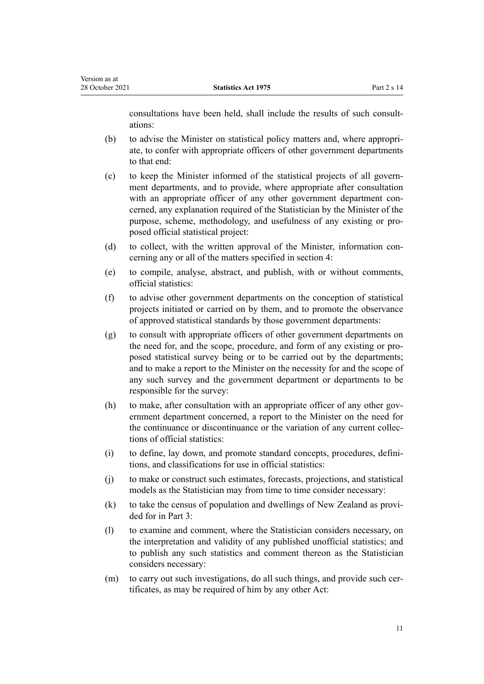consultations have been held, shall include the results of such consultations:

- (b) to advise the Minister on statistical policy matters and, where appropri‐ ate, to confer with appropriate officers of other government departments to that end:
- (c) to keep the Minister informed of the statistical projects of all govern‐ ment departments, and to provide, where appropriate after consultation with an appropriate officer of any other government department concerned, any explanation required of the Statistician by the Minister of the purpose, scheme, methodology, and usefulness of any existing or pro‐ posed official statistical project:
- (d) to collect, with the written approval of the Minister, information concerning any or all of the matters specified in [section 4](#page-5-0):
- (e) to compile, analyse, abstract, and publish, with or without comments, official statistics:
- (f) to advise other government departments on the conception of statistical projects initiated or carried on by them, and to promote the observance of approved statistical standards by those government departments:
- (g) to consult with appropriate officers of other government departments on the need for, and the scope, procedure, and form of any existing or pro‐ posed statistical survey being or to be carried out by the departments; and to make a report to the Minister on the necessity for and the scope of any such survey and the government department or departments to be responsible for the survey:
- (h) to make, after consultation with an appropriate officer of any other government department concerned, a report to the Minister on the need for the continuance or discontinuance or the variation of any current collec‐ tions of official statistics:
- (i) to define, lay down, and promote standard concepts, procedures, defini‐ tions, and classifications for use in official statistics:
- (j) to make or construct such estimates, forecasts, projections, and statistical models as the Statistician may from time to time consider necessary:
- (k) to take the census of population and dwellings of New Zealand as provided for in [Part 3:](#page-15-0)
- (l) to examine and comment, where the Statistician considers necessary, on the interpretation and validity of any published unofficial statistics; and to publish any such statistics and comment thereon as the Statistician considers necessary:
- (m) to carry out such investigations, do all such things, and provide such certificates, as may be required of him by any other Act: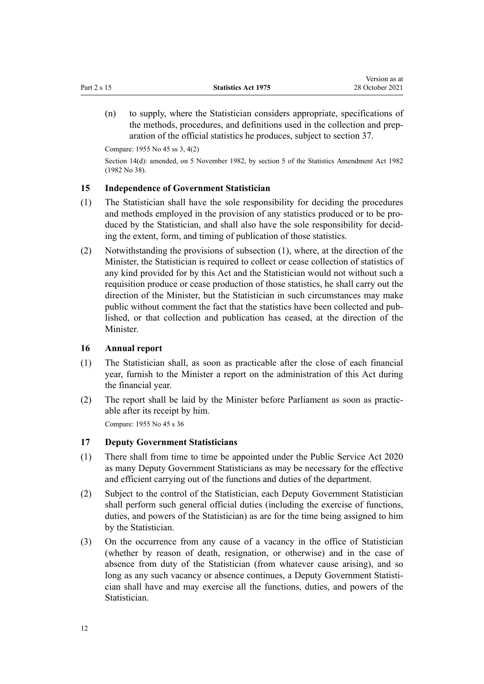<span id="page-11-0"></span>(n) to supply, where the Statistician considers appropriate, specifications of the methods, procedures, and definitions used in the collection and prep‐ aration of the official statistics he produces, subject to [section 37.](#page-27-0)

Compare: 1955 No 45 ss 3, 4(2)

Section 14(d): amended, on 5 November 1982, by section 5 of the Statistics Amendment Act 1982 (1982 No 38).

# **15 Independence of Government Statistician**

- (1) The Statistician shall have the sole responsibility for deciding the procedures and methods employed in the provision of any statistics produced or to be produced by the Statistician, and shall also have the sole responsibility for decid‐ ing the extent, form, and timing of publication of those statistics.
- (2) Notwithstanding the provisions of subsection (1), where, at the direction of the Minister, the Statistician is required to collect or cease collection of statistics of any kind provided for by this Act and the Statistician would not without such a requisition produce or cease production of those statistics, he shall carry out the direction of the Minister, but the Statistician in such circumstances may make public without comment the fact that the statistics have been collected and pub‐ lished, or that collection and publication has ceased, at the direction of the **Minister**

## **16 Annual report**

- (1) The Statistician shall, as soon as practicable after the close of each financial year, furnish to the Minister a report on the administration of this Act during the financial year.
- (2) The report shall be laid by the Minister before Parliament as soon as practic‐ able after its receipt by him.

Compare: 1955 No 45 s 36

# **17 Deputy Government Statisticians**

- (1) There shall from time to time be appointed under the [Public Service Act 2020](http://legislation.govt.nz/pdflink.aspx?id=LMS106157) as many Deputy Government Statisticians as may be necessary for the effective and efficient carrying out of the functions and duties of the department.
- (2) Subject to the control of the Statistician, each Deputy Government Statistician shall perform such general official duties (including the exercise of functions, duties, and powers of the Statistician) as are for the time being assigned to him by the Statistician.
- (3) On the occurrence from any cause of a vacancy in the office of Statistician (whether by reason of death, resignation, or otherwise) and in the case of absence from duty of the Statistician (from whatever cause arising), and so long as any such vacancy or absence continues, a Deputy Government Statistician shall have and may exercise all the functions, duties, and powers of the Statistician.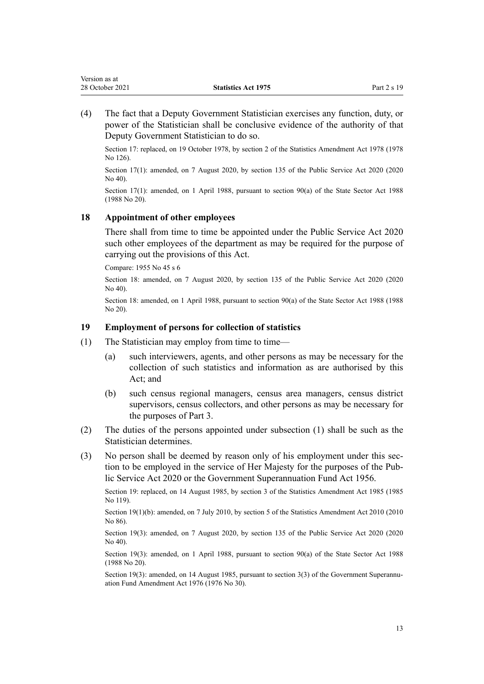<span id="page-12-0"></span>(4) The fact that a Deputy Government Statistician exercises any function, duty, or power of the Statistician shall be conclusive evidence of the authority of that Deputy Government Statistician to do so.

Section 17: replaced, on 19 October 1978, by section 2 of the Statistics Amendment Act 1978 (1978 No 126).

Section 17(1): amended, on 7 August 2020, by [section 135](http://legislation.govt.nz/pdflink.aspx?id=LMS176959) of the Public Service Act 2020 (2020  $N_0$  40).

Section 17(1): amended, on 1 April 1988, pursuant to [section 90\(a\)](http://legislation.govt.nz/pdflink.aspx?id=DLM130377) of the State Sector Act 1988 (1988 No 20).

## **18 Appointment of other employees**

There shall from time to time be appointed under the [Public Service Act 2020](http://legislation.govt.nz/pdflink.aspx?id=LMS106157) such other employees of the department as may be required for the purpose of carrying out the provisions of this Act.

Compare: 1955 No 45 s 6

Section 18: amended, on 7 August 2020, by [section 135](http://legislation.govt.nz/pdflink.aspx?id=LMS176959) of the Public Service Act 2020 (2020 No 40).

Section 18: amended, on 1 April 1988, pursuant to [section 90\(a\)](http://legislation.govt.nz/pdflink.aspx?id=DLM130377) of the State Sector Act 1988 (1988 No 20).

## **19 Employment of persons for collection of statistics**

- (1) The Statistician may employ from time to time—
	- (a) such interviewers, agents, and other persons as may be necessary for the collection of such statistics and information as are authorised by this Act; and
	- (b) such census regional managers, census area managers, census district supervisors, census collectors, and other persons as may be necessary for the purposes of [Part 3.](#page-15-0)
- (2) The duties of the persons appointed under subsection (1) shall be such as the Statistician determines.
- (3) No person shall be deemed by reason only of his employment under this section to be employed in the service of Her Majesty for the purposes of the [Pub‐](http://legislation.govt.nz/pdflink.aspx?id=LMS106157) [lic Service Act 2020](http://legislation.govt.nz/pdflink.aspx?id=LMS106157) or the [Government Superannuation Fund Act 1956](http://legislation.govt.nz/pdflink.aspx?id=DLM446000).

Section 19: replaced, on 14 August 1985, by section 3 of the Statistics Amendment Act 1985 (1985 No 119).

Section 19(1)(b): amended, on 7 July 2010, by [section 5](http://legislation.govt.nz/pdflink.aspx?id=DLM3044408) of the Statistics Amendment Act 2010 (2010) No 86).

Section 19(3): amended, on 7 August 2020, by [section 135](http://legislation.govt.nz/pdflink.aspx?id=LMS176959) of the Public Service Act 2020 (2020) No 40).

Section 19(3): amended, on 1 April 1988, pursuant to section 90(a) of the State Sector Act 1988 (1988 No 20).

Section 19(3): amended, on 14 August 1985, pursuant to section  $3(3)$  of the Government Superannuation Fund Amendment Act 1976 (1976 No 30).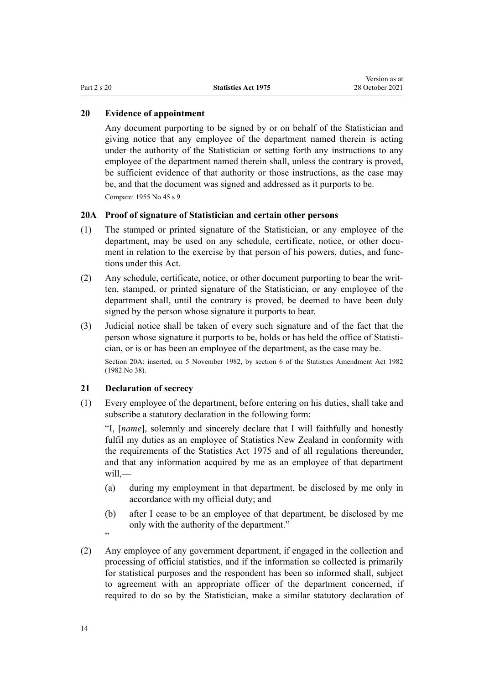### <span id="page-13-0"></span>**20 Evidence of appointment**

Any document purporting to be signed by or on behalf of the Statistician and giving notice that any employee of the department named therein is acting under the authority of the Statistician or setting forth any instructions to any employee of the department named therein shall, unless the contrary is proved, be sufficient evidence of that authority or those instructions, as the case may be, and that the document was signed and addressed as it purports to be.

Compare: 1955 No 45 s 9

#### **20A Proof of signature of Statistician and certain other persons**

- (1) The stamped or printed signature of the Statistician, or any employee of the department, may be used on any schedule, certificate, notice, or other document in relation to the exercise by that person of his powers, duties, and functions under this Act.
- (2) Any schedule, certificate, notice, or other document purporting to bear the writ‐ ten, stamped, or printed signature of the Statistician, or any employee of the department shall, until the contrary is proved, be deemed to have been duly signed by the person whose signature it purports to bear.
- (3) Judicial notice shall be taken of every such signature and of the fact that the person whose signature it purports to be, holds or has held the office of Statisti‐ cian, or is or has been an employee of the department, as the case may be.

Section 20A: inserted, on 5 November 1982, by section 6 of the Statistics Amendment Act 1982 (1982 No 38).

# **21 Declaration of secrecy**

(1) Every employee of the department, before entering on his duties, shall take and subscribe a statutory declaration in the following form:

"I, [*name*], solemnly and sincerely declare that I will faithfully and honestly fulfil my duties as an employee of Statistics New Zealand in conformity with the requirements of the Statistics Act 1975 and of all regulations thereunder, and that any information acquired by me as an employee of that department will,—

- (a) during my employment in that department, be disclosed by me only in accordance with my official duty; and
- (b) after I cease to be an employee of that department, be disclosed by me only with the authority of the department."
- ,,
- (2) Any employee of any government department, if engaged in the collection and processing of official statistics, and if the information so collected is primarily for statistical purposes and the respondent has been so informed shall, subject to agreement with an appropriate officer of the department concerned, if required to do so by the Statistician, make a similar statutory declaration of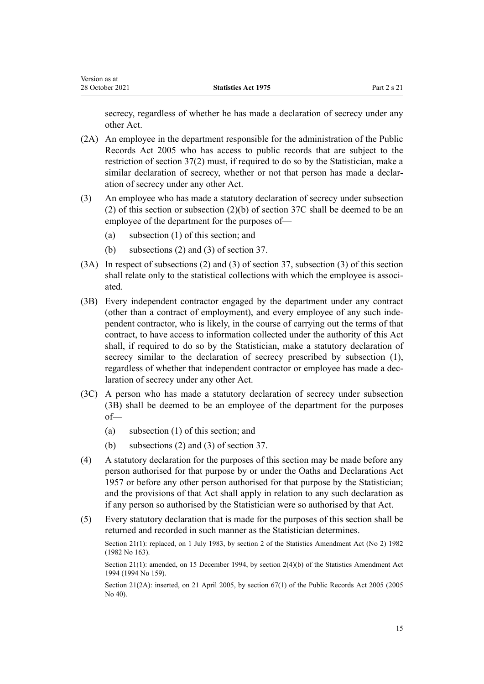secrecy, regardless of whether he has made a declaration of secrecy under any other Act.

- (2A) An employee in the department responsible for the administration of the Public Records Act 2005 who has access to public records that are subject to the restriction of [section 37\(2\)](#page-27-0) must, if required to do so by the Statistician, make a similar declaration of secrecy, whether or not that person has made a declaration of secrecy under any other Act.
- (3) An employee who has made a statutory declaration of secrecy under subsection (2) of this section or subsection (2)(b) of [section 37C](#page-28-0) shall be deemed to be an employee of the department for the purposes of—
	- (a) subsection (1) of this section; and
	- (b) subsections (2) and (3) of [section 37.](#page-27-0)
- (3A) In respect of subsections (2) and (3) of [section 37,](#page-27-0) subsection (3) of this section shall relate only to the statistical collections with which the employee is associated.
- (3B) Every independent contractor engaged by the department under any contract (other than a contract of employment), and every employee of any such inde‐ pendent contractor, who is likely, in the course of carrying out the terms of that contract, to have access to information collected under the authority of this Act shall, if required to do so by the Statistician, make a statutory declaration of secrecy similar to the declaration of secrecy prescribed by subsection (1), regardless of whether that independent contractor or employee has made a dec‐ laration of secrecy under any other Act.
- (3C) A person who has made a statutory declaration of secrecy under subsection (3B) shall be deemed to be an employee of the department for the purposes of—
	- (a) subsection (1) of this section; and
	- (b) subsections (2) and (3) of [section 37.](#page-27-0)
- (4) A statutory declaration for the purposes of this section may be made before any person authorised for that purpose by or under the [Oaths and Declarations Act](http://legislation.govt.nz/pdflink.aspx?id=DLM314552) [1957](http://legislation.govt.nz/pdflink.aspx?id=DLM314552) or before any other person authorised for that purpose by the Statistician; and the provisions of that Act shall apply in relation to any such declaration as if any person so authorised by the Statistician were so authorised by that Act.
- (5) Every statutory declaration that is made for the purposes of this section shall be returned and recorded in such manner as the Statistician determines.

Section 21(1): replaced, on 1 July 1983, by section 2 of the Statistics Amendment Act (No 2) 1982 (1982 No 163).

Section 21(1): amended, on 15 December 1994, by [section 2\(4\)\(b\)](http://legislation.govt.nz/pdflink.aspx?id=DLM347442) of the Statistics Amendment Act 1994 (1994 No 159).

Section 21(2A): inserted, on 21 April 2005, by [section 67\(1\)](http://legislation.govt.nz/pdflink.aspx?id=DLM346105) of the Public Records Act 2005 (2005) No 40).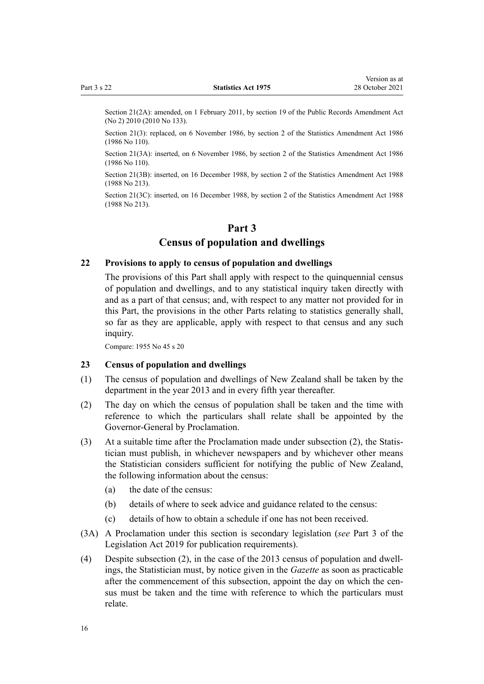<span id="page-15-0"></span>Section 21(2A): amended, on 1 February 2011, by [section 19](http://legislation.govt.nz/pdflink.aspx?id=DLM3431136) of the Public Records Amendment Act (No 2) 2010 (2010 No 133).

Section 21(3): replaced, on 6 November 1986, by section 2 of the Statistics Amendment Act 1986 (1986 No 110).

Section 21(3A): inserted, on 6 November 1986, by section 2 of the Statistics Amendment Act 1986 (1986 No 110).

Section 21(3B): inserted, on 16 December 1988, by section 2 of the Statistics Amendment Act 1988 (1988 No 213).

Section 21(3C): inserted, on 16 December 1988, by section 2 of the Statistics Amendment Act 1988 (1988 No 213).

# **Part 3**

# **Census of population and dwellings**

# **22 Provisions to apply to census of population and dwellings**

The provisions of this Part shall apply with respect to the quinquennial census of population and dwellings, and to any statistical inquiry taken directly with and as a part of that census; and, with respect to any matter not provided for in this Part, the provisions in the other Parts relating to statistics generally shall, so far as they are applicable, apply with respect to that census and any such inquiry.

Compare: 1955 No 45 s 20

#### **23 Census of population and dwellings**

- (1) The census of population and dwellings of New Zealand shall be taken by the department in the year 2013 and in every fifth year thereafter.
- (2) The day on which the census of population shall be taken and the time with reference to which the particulars shall relate shall be appointed by the Governor-General by Proclamation.
- (3) At a suitable time after the Proclamation made under subsection (2), the Statis‐ tician must publish, in whichever newspapers and by whichever other means the Statistician considers sufficient for notifying the public of New Zealand, the following information about the census:
	- (a) the date of the census:
	- (b) details of where to seek advice and guidance related to the census:
	- (c) details of how to obtain a schedule if one has not been received.
- (3A) A Proclamation under this section is secondary legislation (*see* [Part 3](http://legislation.govt.nz/pdflink.aspx?id=DLM7298343) of the Legislation Act 2019 for publication requirements).
- (4) Despite subsection  $(2)$ , in the case of the 2013 census of population and dwellings, the Statistician must, by notice given in the *Gazette* as soon as practicable after the commencement of this subsection, appoint the day on which the census must be taken and the time with reference to which the particulars must relate.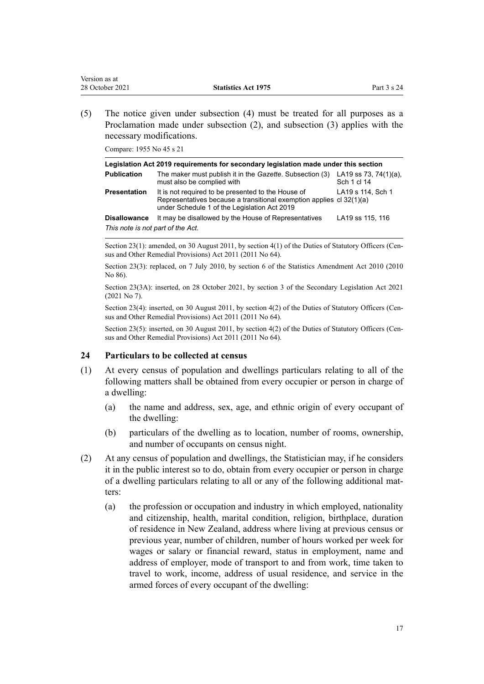<span id="page-16-0"></span>(5) The notice given under subsection (4) must be treated for all purposes as a Proclamation made under subsection (2), and subsection (3) applies with the necessary modifications.

Compare: 1955 No 45 s 21

|                                   | Legislation Act 2019 requirements for secondary legislation made under this section                                                                                        |                                          |
|-----------------------------------|----------------------------------------------------------------------------------------------------------------------------------------------------------------------------|------------------------------------------|
| <b>Publication</b>                | The maker must publish it in the Gazette. Subsection (3)<br>must also be complied with                                                                                     | LA19 ss 73, 74 $(1)(a)$ ,<br>Sch 1 cl 14 |
| <b>Presentation</b>               | It is not required to be presented to the House of<br>Representatives because a transitional exemption applies cl 32(1)(a)<br>under Schedule 1 of the Legislation Act 2019 | LA19 s 114, Sch 1                        |
| <b>Disallowance</b>               | It may be disallowed by the House of Representatives                                                                                                                       | LA19 ss 115, 116                         |
| This note is not part of the Act. |                                                                                                                                                                            |                                          |

Section 23(1): amended, on 30 August 2011, by [section 4\(1\)](http://legislation.govt.nz/pdflink.aspx?id=DLM3921576) of the Duties of Statutory Officers (Census and Other Remedial Provisions) Act 2011 (2011 No 64).

Section 23(3): replaced, on 7 July 2010, by [section 6](http://legislation.govt.nz/pdflink.aspx?id=DLM3044409) of the Statistics Amendment Act 2010 (2010) No 86).

Section 23(3A): inserted, on 28 October 2021, by [section 3](http://legislation.govt.nz/pdflink.aspx?id=LMS268932) of the Secondary Legislation Act 2021 (2021 No 7).

Section 23(4): inserted, on 30 August 2011, by [section 4\(2\)](http://legislation.govt.nz/pdflink.aspx?id=DLM3921576) of the Duties of Statutory Officers (Census and Other Remedial Provisions) Act 2011 (2011 No 64).

Section 23(5): inserted, on 30 August 2011, by [section 4\(2\)](http://legislation.govt.nz/pdflink.aspx?id=DLM3921576) of the Duties of Statutory Officers (Census and Other Remedial Provisions) Act 2011 (2011 No 64).

## **24 Particulars to be collected at census**

- (1) At every census of population and dwellings particulars relating to all of the following matters shall be obtained from every occupier or person in charge of a dwelling:
	- (a) the name and address, sex, age, and ethnic origin of every occupant of the dwelling:
	- (b) particulars of the dwelling as to location, number of rooms, ownership, and number of occupants on census night.
- (2) At any census of population and dwellings, the Statistician may, if he considers it in the public interest so to do, obtain from every occupier or person in charge of a dwelling particulars relating to all or any of the following additional mat‐ ters:
	- (a) the profession or occupation and industry in which employed, nationality and citizenship, health, marital condition, religion, birthplace, duration of residence in New Zealand, address where living at previous census or previous year, number of children, number of hours worked per week for wages or salary or financial reward, status in employment, name and address of employer, mode of transport to and from work, time taken to travel to work, income, address of usual residence, and service in the armed forces of every occupant of the dwelling: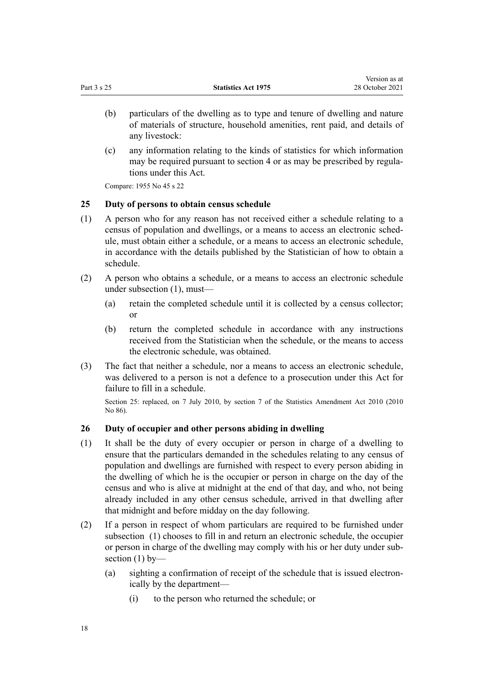<span id="page-17-0"></span>

|             |                            | Version as at   |
|-------------|----------------------------|-----------------|
| Part 3 s 25 | <b>Statistics Act 1975</b> | 28 October 2021 |

- (b) particulars of the dwelling as to type and tenure of dwelling and nature of materials of structure, household amenities, rent paid, and details of any livestock:
- (c) any information relating to the kinds of statistics for which information may be required pursuant to [section 4](#page-5-0) or as may be prescribed by regulations under this Act.

Compare: 1955 No 45 s 22

# **25 Duty of persons to obtain census schedule**

- (1) A person who for any reason has not received either a schedule relating to a census of population and dwellings, or a means to access an electronic sched‐ ule, must obtain either a schedule, or a means to access an electronic schedule, in accordance with the details published by the Statistician of how to obtain a schedule.
- (2) A person who obtains a schedule, or a means to access an electronic schedule under subsection (1), must—
	- (a) retain the completed schedule until it is collected by a census collector; or
	- (b) return the completed schedule in accordance with any instructions received from the Statistician when the schedule, or the means to access the electronic schedule, was obtained.
- (3) The fact that neither a schedule, nor a means to access an electronic schedule, was delivered to a person is not a defence to a prosecution under this Act for failure to fill in a schedule.

Section 25: replaced, on 7 July 2010, by [section 7](http://legislation.govt.nz/pdflink.aspx?id=DLM3044410) of the Statistics Amendment Act 2010 (2010 No 86).

## **26 Duty of occupier and other persons abiding in dwelling**

- (1) It shall be the duty of every occupier or person in charge of a dwelling to ensure that the particulars demanded in the schedules relating to any census of population and dwellings are furnished with respect to every person abiding in the dwelling of which he is the occupier or person in charge on the day of the census and who is alive at midnight at the end of that day, and who, not being already included in any other census schedule, arrived in that dwelling after that midnight and before midday on the day following.
- (2) If a person in respect of whom particulars are required to be furnished under subsection (1) chooses to fill in and return an electronic schedule, the occupier or person in charge of the dwelling may comply with his or her duty under sub‐ section  $(1)$  by-
	- (a) sighting a confirmation of receipt of the schedule that is issued electron‐ ically by the department—
		- (i) to the person who returned the schedule; or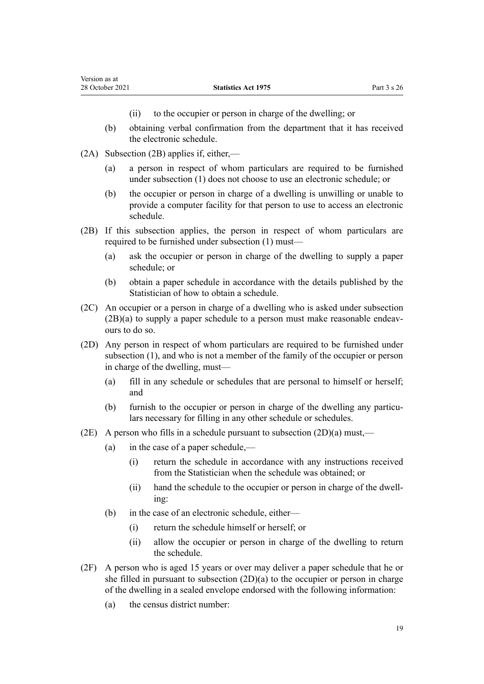- (ii) to the occupier or person in charge of the dwelling; or
- (b) obtaining verbal confirmation from the department that it has received the electronic schedule.
- (2A) Subsection (2B) applies if, either,—
	- (a) a person in respect of whom particulars are required to be furnished under subsection (1) does not choose to use an electronic schedule; or
	- (b) the occupier or person in charge of a dwelling is unwilling or unable to provide a computer facility for that person to use to access an electronic schedule.
- (2B) If this subsection applies, the person in respect of whom particulars are required to be furnished under subsection (1) must—
	- (a) ask the occupier or person in charge of the dwelling to supply a paper schedule; or
	- (b) obtain a paper schedule in accordance with the details published by the Statistician of how to obtain a schedule.
- (2C) An occupier or a person in charge of a dwelling who is asked under subsection  $(2B)(a)$  to supply a paper schedule to a person must make reasonable endeavours to do so.
- (2D) Any person in respect of whom particulars are required to be furnished under subsection (1), and who is not a member of the family of the occupier or person in charge of the dwelling, must—
	- (a) fill in any schedule or schedules that are personal to himself or herself; and
	- (b) furnish to the occupier or person in charge of the dwelling any particulars necessary for filling in any other schedule or schedules.
- (2E) A person who fills in a schedule pursuant to subsection  $(2D)(a)$  must,—
	- (a) in the case of a paper schedule,—
		- (i) return the schedule in accordance with any instructions received from the Statistician when the schedule was obtained; or
		- (ii) hand the schedule to the occupier or person in charge of the dwell‐ ing:
	- (b) in the case of an electronic schedule, either—
		- (i) return the schedule himself or herself; or
		- (ii) allow the occupier or person in charge of the dwelling to return the schedule.
- (2F) A person who is aged 15 years or over may deliver a paper schedule that he or she filled in pursuant to subsection (2D)(a) to the occupier or person in charge of the dwelling in a sealed envelope endorsed with the following information:
	- (a) the census district number: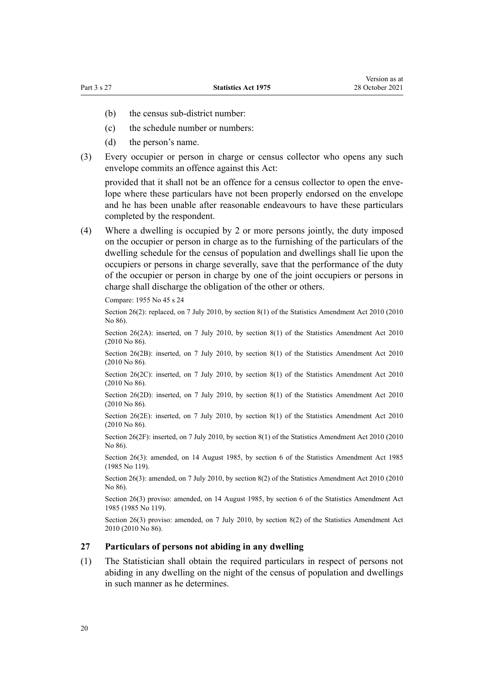- <span id="page-19-0"></span>(b) the census sub-district number:
- (c) the schedule number or numbers:
- (d) the person's name.
- (3) Every occupier or person in charge or census collector who opens any such envelope commits an offence against this Act:

provided that it shall not be an offence for a census collector to open the envelope where these particulars have not been properly endorsed on the envelope and he has been unable after reasonable endeavours to have these particulars completed by the respondent.

(4) Where a dwelling is occupied by 2 or more persons jointly, the duty imposed on the occupier or person in charge as to the furnishing of the particulars of the dwelling schedule for the census of population and dwellings shall lie upon the occupiers or persons in charge severally, save that the performance of the duty of the occupier or person in charge by one of the joint occupiers or persons in charge shall discharge the obligation of the other or others.

Compare: 1955 No 45 s 24

Section 26(2): replaced, on 7 July 2010, by [section 8\(1\)](http://legislation.govt.nz/pdflink.aspx?id=DLM3044412) of the Statistics Amendment Act 2010 (2010 No 86).

Section 26(2A): inserted, on 7 July 2010, by [section 8\(1\)](http://legislation.govt.nz/pdflink.aspx?id=DLM3044412) of the Statistics Amendment Act 2010 (2010 No 86).

Section 26(2B): inserted, on 7 July 2010, by [section 8\(1\)](http://legislation.govt.nz/pdflink.aspx?id=DLM3044412) of the Statistics Amendment Act 2010 (2010 No 86).

Section 26(2C): inserted, on 7 July 2010, by [section 8\(1\)](http://legislation.govt.nz/pdflink.aspx?id=DLM3044412) of the Statistics Amendment Act 2010 (2010 No 86).

Section 26(2D): inserted, on 7 July 2010, by [section 8\(1\)](http://legislation.govt.nz/pdflink.aspx?id=DLM3044412) of the Statistics Amendment Act 2010 (2010 No 86).

Section 26(2E): inserted, on 7 July 2010, by [section 8\(1\)](http://legislation.govt.nz/pdflink.aspx?id=DLM3044412) of the Statistics Amendment Act 2010 (2010 No 86).

Section 26(2F): inserted, on 7 July 2010, by [section 8\(1\)](http://legislation.govt.nz/pdflink.aspx?id=DLM3044412) of the Statistics Amendment Act 2010 (2010 No 86).

Section 26(3): amended, on 14 August 1985, by section 6 of the Statistics Amendment Act 1985 (1985 No 119).

Section 26(3): amended, on 7 July 2010, by [section 8\(2\)](http://legislation.govt.nz/pdflink.aspx?id=DLM3044412) of the Statistics Amendment Act 2010 (2010 No 86).

Section 26(3) proviso: amended, on 14 August 1985, by section 6 of the Statistics Amendment Act 1985 (1985 No 119).

Section 26(3) proviso: amended, on 7 July 2010, by [section 8\(2\)](http://legislation.govt.nz/pdflink.aspx?id=DLM3044412) of the Statistics Amendment Act 2010 (2010 No 86).

#### **27 Particulars of persons not abiding in any dwelling**

(1) The Statistician shall obtain the required particulars in respect of persons not abiding in any dwelling on the night of the census of population and dwellings in such manner as he determines.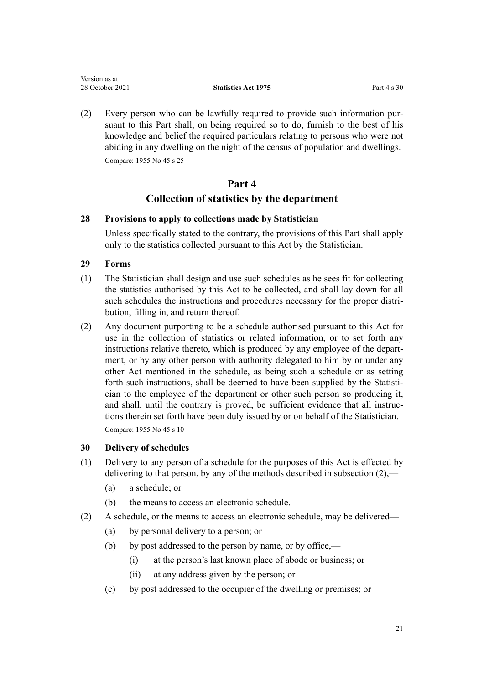<span id="page-20-0"></span>(2) Every person who can be lawfully required to provide such information pur‐ suant to this Part shall, on being required so to do, furnish to the best of his knowledge and belief the required particulars relating to persons who were not abiding in any dwelling on the night of the census of population and dwellings. Compare: 1955 No 45 s 25

# **Part 4 Collection of statistics by the department**

# **28 Provisions to apply to collections made by Statistician**

Unless specifically stated to the contrary, the provisions of this Part shall apply only to the statistics collected pursuant to this Act by the Statistician.

# **29 Forms**

- (1) The Statistician shall design and use such schedules as he sees fit for collecting the statistics authorised by this Act to be collected, and shall lay down for all such schedules the instructions and procedures necessary for the proper distribution, filling in, and return thereof.
- (2) Any document purporting to be a schedule authorised pursuant to this Act for use in the collection of statistics or related information, or to set forth any instructions relative thereto, which is produced by any employee of the department, or by any other person with authority delegated to him by or under any other Act mentioned in the schedule, as being such a schedule or as setting forth such instructions, shall be deemed to have been supplied by the Statistician to the employee of the department or other such person so producing it, and shall, until the contrary is proved, be sufficient evidence that all instructions therein set forth have been duly issued by or on behalf of the Statistician. Compare: 1955 No 45 s 10

# **30 Delivery of schedules**

- (1) Delivery to any person of a schedule for the purposes of this Act is effected by delivering to that person, by any of the methods described in subsection (2),—
	- (a) a schedule; or
	- (b) the means to access an electronic schedule.
- (2) A schedule, or the means to access an electronic schedule, may be delivered—
	- (a) by personal delivery to a person; or
	- (b) by post addressed to the person by name, or by office,—
		- (i) at the person's last known place of abode or business; or
		- (ii) at any address given by the person; or
	- (c) by post addressed to the occupier of the dwelling or premises; or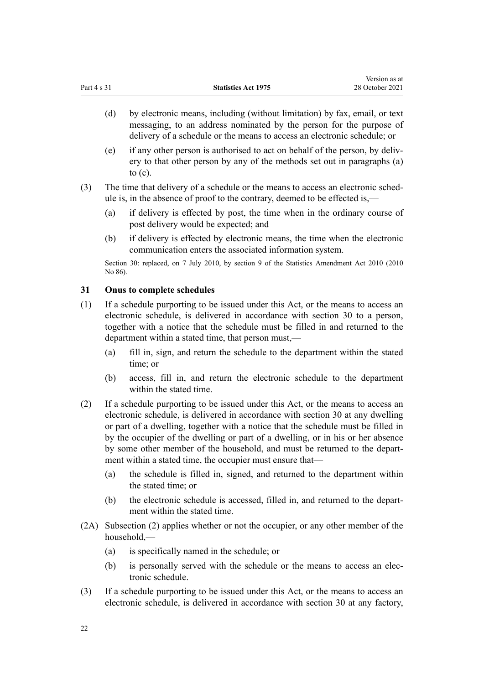<span id="page-21-0"></span>(d) by electronic means, including (without limitation) by fax, email, or text messaging, to an address nominated by the person for the purpose of delivery of a schedule or the means to access an electronic schedule; or

Version as at

- (e) if any other person is authorised to act on behalf of the person, by deliv‐ ery to that other person by any of the methods set out in paragraphs (a) to (c).
- (3) The time that delivery of a schedule or the means to access an electronic sched‐ ule is, in the absence of proof to the contrary, deemed to be effected is,—
	- (a) if delivery is effected by post, the time when in the ordinary course of post delivery would be expected; and
	- (b) if delivery is effected by electronic means, the time when the electronic communication enters the associated information system.

Section 30: replaced, on 7 July 2010, by [section 9](http://legislation.govt.nz/pdflink.aspx?id=DLM3044413) of the Statistics Amendment Act 2010 (2010) No 86).

# **31 Onus to complete schedules**

- (1) If a schedule purporting to be issued under this Act, or the means to access an electronic schedule, is delivered in accordance with [section 30](#page-20-0) to a person, together with a notice that the schedule must be filled in and returned to the department within a stated time, that person must,—
	- (a) fill in, sign, and return the schedule to the department within the stated time; or
	- (b) access, fill in, and return the electronic schedule to the department within the stated time.
- (2) If a schedule purporting to be issued under this Act, or the means to access an electronic schedule, is delivered in accordance with [section 30](#page-20-0) at any dwelling or part of a dwelling, together with a notice that the schedule must be filled in by the occupier of the dwelling or part of a dwelling, or in his or her absence by some other member of the household, and must be returned to the department within a stated time, the occupier must ensure that—
	- (a) the schedule is filled in, signed, and returned to the department within the stated time; or
	- (b) the electronic schedule is accessed, filled in, and returned to the department within the stated time.
- (2A) Subsection (2) applies whether or not the occupier, or any other member of the household,—
	- (a) is specifically named in the schedule; or
	- (b) is personally served with the schedule or the means to access an elec‐ tronic schedule.
- (3) If a schedule purporting to be issued under this Act, or the means to access an electronic schedule, is delivered in accordance with [section 30](#page-20-0) at any factory,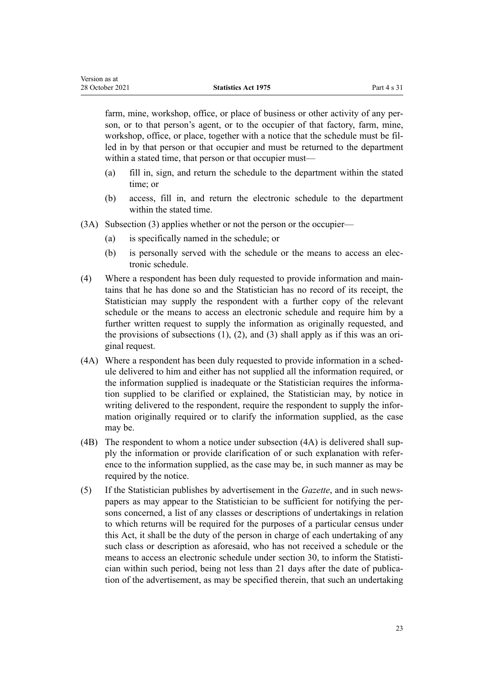farm, mine, workshop, office, or place of business or other activity of any person, or to that person's agent, or to the occupier of that factory, farm, mine, workshop, office, or place, together with a notice that the schedule must be filled in by that person or that occupier and must be returned to the department within a stated time, that person or that occupier must—

- (a) fill in, sign, and return the schedule to the department within the stated time; or
- (b) access, fill in, and return the electronic schedule to the department within the stated time.
- (3A) Subsection (3) applies whether or not the person or the occupier—
	- (a) is specifically named in the schedule; or

Version as at

- (b) is personally served with the schedule or the means to access an electronic schedule.
- (4) Where a respondent has been duly requested to provide information and main‐ tains that he has done so and the Statistician has no record of its receipt, the Statistician may supply the respondent with a further copy of the relevant schedule or the means to access an electronic schedule and require him by a further written request to supply the information as originally requested, and the provisions of subsections  $(1)$ ,  $(2)$ , and  $(3)$  shall apply as if this was an original request.
- (4A) Where a respondent has been duly requested to provide information in a schedule delivered to him and either has not supplied all the information required, or the information supplied is inadequate or the Statistician requires the information supplied to be clarified or explained, the Statistician may, by notice in writing delivered to the respondent, require the respondent to supply the information originally required or to clarify the information supplied, as the case may be.
- (4B) The respondent to whom a notice under subsection (4A) is delivered shall sup‐ ply the information or provide clarification of or such explanation with refer‐ ence to the information supplied, as the case may be, in such manner as may be required by the notice.
- (5) If the Statistician publishes by advertisement in the *Gazette*, and in such news‐ papers as may appear to the Statistician to be sufficient for notifying the per‐ sons concerned, a list of any classes or descriptions of undertakings in relation to which returns will be required for the purposes of a particular census under this Act, it shall be the duty of the person in charge of each undertaking of any such class or description as aforesaid, who has not received a schedule or the means to access an electronic schedule under [section 30,](#page-20-0) to inform the Statistician within such period, being not less than 21 days after the date of publication of the advertisement, as may be specified therein, that such an undertaking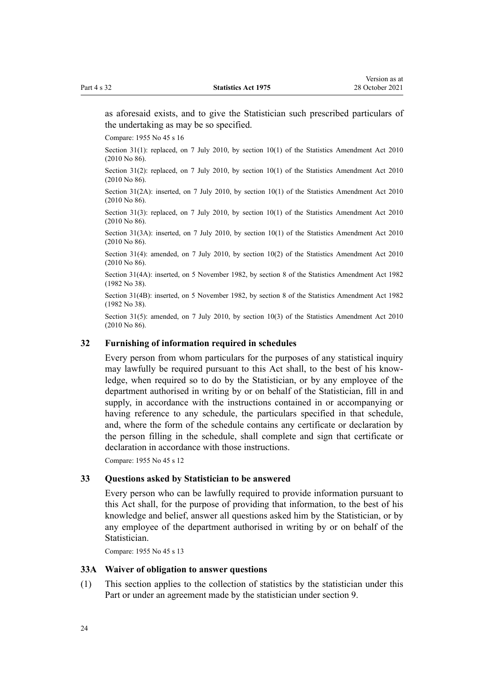<span id="page-23-0"></span>as aforesaid exists, and to give the Statistician such prescribed particulars of the undertaking as may be so specified.

Compare: 1955 No 45 s 16

Section 31(1): replaced, on 7 July 2010, by [section 10\(1\)](http://legislation.govt.nz/pdflink.aspx?id=DLM3044415) of the Statistics Amendment Act 2010 (2010 No 86).

Section 31(2): replaced, on 7 July 2010, by [section 10\(1\)](http://legislation.govt.nz/pdflink.aspx?id=DLM3044415) of the Statistics Amendment Act 2010 (2010 No 86).

Section 31(2A): inserted, on 7 July 2010, by [section 10\(1\)](http://legislation.govt.nz/pdflink.aspx?id=DLM3044415) of the Statistics Amendment Act 2010 (2010 No 86).

Section 31(3): replaced, on 7 July 2010, by [section 10\(1\)](http://legislation.govt.nz/pdflink.aspx?id=DLM3044415) of the Statistics Amendment Act 2010 (2010 No 86).

Section 31(3A): inserted, on 7 July 2010, by [section 10\(1\)](http://legislation.govt.nz/pdflink.aspx?id=DLM3044415) of the Statistics Amendment Act 2010 (2010 No 86).

Section 31(4): amended, on 7 July 2010, by [section 10\(2\)](http://legislation.govt.nz/pdflink.aspx?id=DLM3044415) of the Statistics Amendment Act 2010 (2010 No 86).

Section 31(4A): inserted, on 5 November 1982, by section 8 of the Statistics Amendment Act 1982 (1982 No 38).

Section 31(4B): inserted, on 5 November 1982, by section 8 of the Statistics Amendment Act 1982 (1982 No 38).

Section 31(5): amended, on 7 July 2010, by [section 10\(3\)](http://legislation.govt.nz/pdflink.aspx?id=DLM3044415) of the Statistics Amendment Act 2010 (2010 No 86).

## **32 Furnishing of information required in schedules**

Every person from whom particulars for the purposes of any statistical inquiry may lawfully be required pursuant to this Act shall, to the best of his knowledge, when required so to do by the Statistician, or by any employee of the department authorised in writing by or on behalf of the Statistician, fill in and supply, in accordance with the instructions contained in or accompanying or having reference to any schedule, the particulars specified in that schedule, and, where the form of the schedule contains any certificate or declaration by the person filling in the schedule, shall complete and sign that certificate or declaration in accordance with those instructions.

Compare: 1955 No 45 s 12

#### **33 Questions asked by Statistician to be answered**

Every person who can be lawfully required to provide information pursuant to this Act shall, for the purpose of providing that information, to the best of his knowledge and belief, answer all questions asked him by the Statistician, or by any employee of the department authorised in writing by or on behalf of the Statistician.

Compare: 1955 No 45 s 13

#### **33A Waiver of obligation to answer questions**

(1) This section applies to the collection of statistics by the statistician under this Part or under an agreement made by the statistician under [section 9](#page-8-0).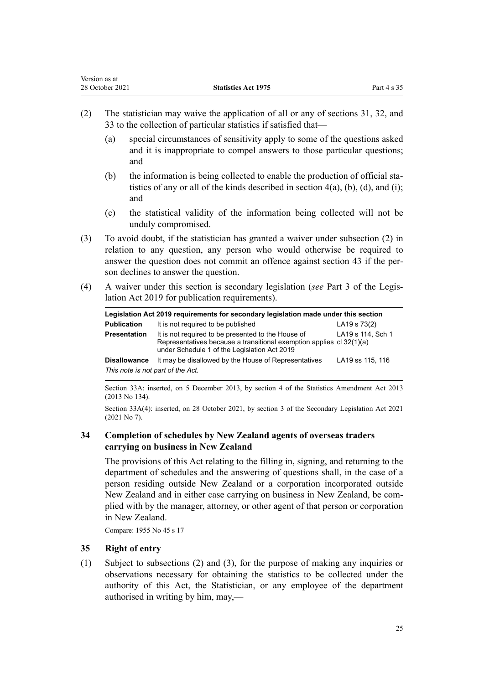<span id="page-24-0"></span>

| Version as at   |                            |             |
|-----------------|----------------------------|-------------|
| 28 October 2021 | <b>Statistics Act 1975</b> | Part 4 s 35 |

- (2) The statistician may waive the application of all or any of [sections 31](#page-21-0), [32](#page-23-0), and [33](#page-23-0) to the collection of particular statistics if satisfied that—
	- (a) special circumstances of sensitivity apply to some of the questions asked and it is inappropriate to compel answers to those particular questions; and
	- (b) the information is being collected to enable the production of official statistics of any or all of the kinds described in section  $4(a)$ , (b), (d), and (i); and
	- (c) the statistical validity of the information being collected will not be unduly compromised.
- (3) To avoid doubt, if the statistician has granted a waiver under subsection (2) in relation to any question, any person who would otherwise be required to answer the question does not commit an offence against [section 43](#page-33-0) if the person declines to answer the question.
- (4) A waiver under this section is secondary legislation (*see* [Part 3](http://legislation.govt.nz/pdflink.aspx?id=DLM7298343) of the Legis‐ lation Act 2019 for publication requirements).

| Legislation Act 2019 requirements for secondary legislation made under this section |                                                                                                                                                                            |                   |  |
|-------------------------------------------------------------------------------------|----------------------------------------------------------------------------------------------------------------------------------------------------------------------------|-------------------|--|
| <b>Publication</b>                                                                  | It is not required to be published                                                                                                                                         | LA19 s 73(2)      |  |
| <b>Presentation</b>                                                                 | It is not required to be presented to the House of<br>Representatives because a transitional exemption applies cl 32(1)(a)<br>under Schedule 1 of the Legislation Act 2019 | LA19 s 114, Sch 1 |  |
| <b>Disallowance</b>                                                                 | It may be disallowed by the House of Representatives                                                                                                                       | LA19 ss 115, 116  |  |
| This note is not part of the Act.                                                   |                                                                                                                                                                            |                   |  |

Section 33A: inserted, on 5 December 2013, by [section 4](http://legislation.govt.nz/pdflink.aspx?id=DLM5627707) of the Statistics Amendment Act 2013 (2013 No 134).

Section 33A(4): inserted, on 28 October 2021, by [section 3](http://legislation.govt.nz/pdflink.aspx?id=LMS268932) of the Secondary Legislation Act 2021 (2021 No 7).

# **34 Completion of schedules by New Zealand agents of overseas traders carrying on business in New Zealand**

The provisions of this Act relating to the filling in, signing, and returning to the department of schedules and the answering of questions shall, in the case of a person residing outside New Zealand or a corporation incorporated outside New Zealand and in either case carrying on business in New Zealand, be com‐ plied with by the manager, attorney, or other agent of that person or corporation in New Zealand.

Compare: 1955 No 45 s 17

# **35 Right of entry**

(1) Subject to subsections (2) and (3), for the purpose of making any inquiries or observations necessary for obtaining the statistics to be collected under the authority of this Act, the Statistician, or any employee of the department authorised in writing by him, may,—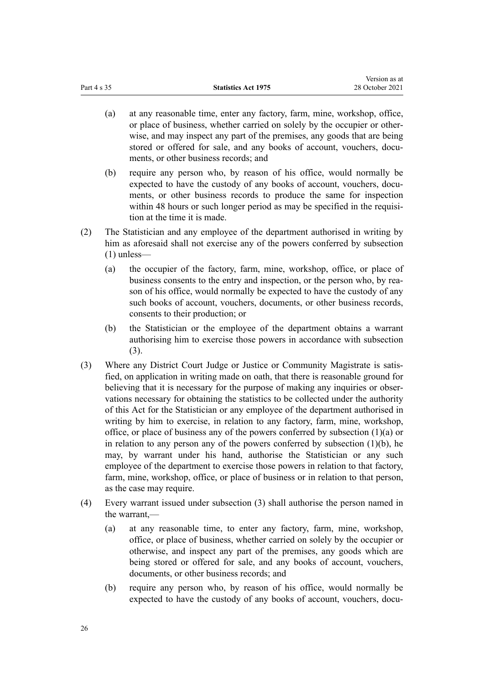- (a) at any reasonable time, enter any factory, farm, mine, workshop, office, or place of business, whether carried on solely by the occupier or other‐ wise, and may inspect any part of the premises, any goods that are being stored or offered for sale, and any books of account, vouchers, documents, or other business records; and
- (b) require any person who, by reason of his office, would normally be expected to have the custody of any books of account, vouchers, documents, or other business records to produce the same for inspection within 48 hours or such longer period as may be specified in the requisition at the time it is made.
- (2) The Statistician and any employee of the department authorised in writing by him as aforesaid shall not exercise any of the powers conferred by subsection (1) unless—
	- (a) the occupier of the factory, farm, mine, workshop, office, or place of business consents to the entry and inspection, or the person who, by reason of his office, would normally be expected to have the custody of any such books of account, vouchers, documents, or other business records, consents to their production; or
	- (b) the Statistician or the employee of the department obtains a warrant authorising him to exercise those powers in accordance with subsection (3).
- (3) Where any District Court Judge or Justice or Community Magistrate is satis‐ fied, on application in writing made on oath, that there is reasonable ground for believing that it is necessary for the purpose of making any inquiries or observations necessary for obtaining the statistics to be collected under the authority of this Act for the Statistician or any employee of the department authorised in writing by him to exercise, in relation to any factory, farm, mine, workshop, office, or place of business any of the powers conferred by subsection (1)(a) or in relation to any person any of the powers conferred by subsection  $(1)(b)$ , he may, by warrant under his hand, authorise the Statistician or any such employee of the department to exercise those powers in relation to that factory, farm, mine, workshop, office, or place of business or in relation to that person, as the case may require.
- (4) Every warrant issued under subsection (3) shall authorise the person named in the warrant,—
	- (a) at any reasonable time, to enter any factory, farm, mine, workshop, office, or place of business, whether carried on solely by the occupier or otherwise, and inspect any part of the premises, any goods which are being stored or offered for sale, and any books of account, vouchers, documents, or other business records; and
	- (b) require any person who, by reason of his office, would normally be expected to have the custody of any books of account, vouchers, docu-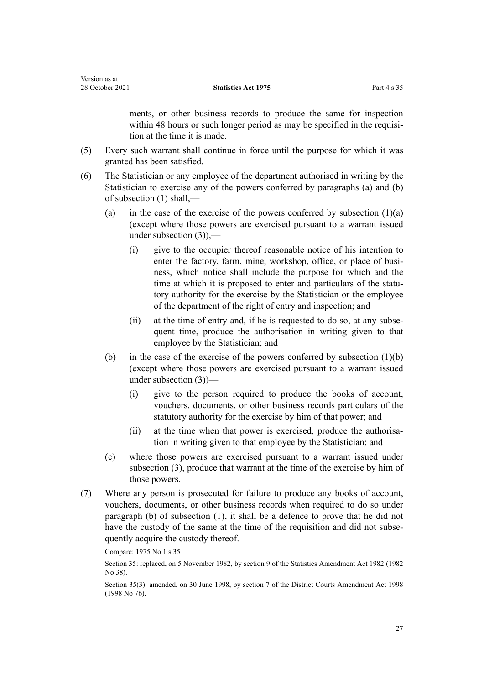| Version as at   |                            |             |
|-----------------|----------------------------|-------------|
| 28 October 2021 | <b>Statistics Act 1975</b> | Part 4 s 35 |

ments, or other business records to produce the same for inspection within 48 hours or such longer period as may be specified in the requisition at the time it is made.

- (5) Every such warrant shall continue in force until the purpose for which it was granted has been satisfied.
- (6) The Statistician or any employee of the department authorised in writing by the Statistician to exercise any of the powers conferred by paragraphs (a) and (b) of subsection (1) shall,—
	- (a) in the case of the exercise of the powers conferred by subsection  $(1)(a)$ (except where those powers are exercised pursuant to a warrant issued under subsection  $(3)$ ),-
		- (i) give to the occupier thereof reasonable notice of his intention to enter the factory, farm, mine, workshop, office, or place of business, which notice shall include the purpose for which and the time at which it is proposed to enter and particulars of the statutory authority for the exercise by the Statistician or the employee of the department of the right of entry and inspection; and
		- (ii) at the time of entry and, if he is requested to do so, at any subsequent time, produce the authorisation in writing given to that employee by the Statistician; and
	- (b) in the case of the exercise of the powers conferred by subsection  $(1)(b)$ (except where those powers are exercised pursuant to a warrant issued under subsection (3))—
		- (i) give to the person required to produce the books of account, vouchers, documents, or other business records particulars of the statutory authority for the exercise by him of that power; and
		- (ii) at the time when that power is exercised, produce the authorisation in writing given to that employee by the Statistician; and
	- (c) where those powers are exercised pursuant to a warrant issued under subsection (3), produce that warrant at the time of the exercise by him of those powers.
- (7) Where any person is prosecuted for failure to produce any books of account, vouchers, documents, or other business records when required to do so under paragraph (b) of subsection (1), it shall be a defence to prove that he did not have the custody of the same at the time of the requisition and did not subsequently acquire the custody thereof.

Compare: 1975 No 1 s 35

Section 35: replaced, on 5 November 1982, by section 9 of the Statistics Amendment Act 1982 (1982 No 38).

Section 35(3): amended, on 30 June 1998, by [section 7](http://legislation.govt.nz/pdflink.aspx?id=DLM427920) of the District Courts Amendment Act 1998 (1998 No 76).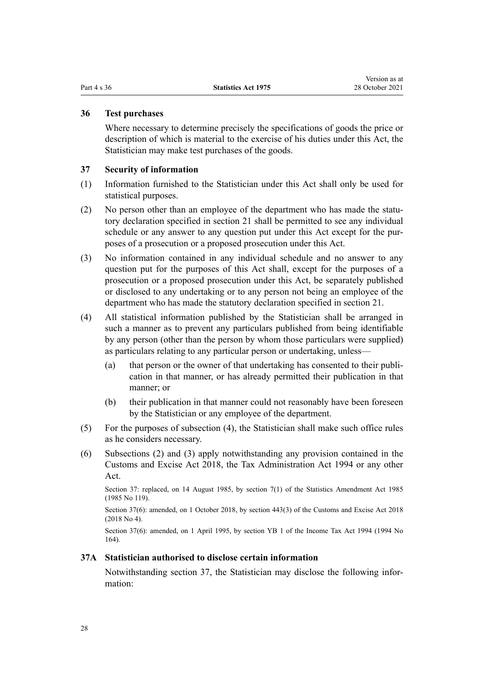### <span id="page-27-0"></span>**36 Test purchases**

Where necessary to determine precisely the specifications of goods the price or description of which is material to the exercise of his duties under this Act, the Statistician may make test purchases of the goods.

### **37 Security of information**

- (1) Information furnished to the Statistician under this Act shall only be used for statistical purposes.
- (2) No person other than an employee of the department who has made the statutory declaration specified in [section 21](#page-13-0) shall be permitted to see any individual schedule or any answer to any question put under this Act except for the purposes of a prosecution or a proposed prosecution under this Act.
- (3) No information contained in any individual schedule and no answer to any question put for the purposes of this Act shall, except for the purposes of a prosecution or a proposed prosecution under this Act, be separately published or disclosed to any undertaking or to any person not being an employee of the department who has made the statutory declaration specified in [section 21.](#page-13-0)
- (4) All statistical information published by the Statistician shall be arranged in such a manner as to prevent any particulars published from being identifiable by any person (other than the person by whom those particulars were supplied) as particulars relating to any particular person or undertaking, unless—
	- (a) that person or the owner of that undertaking has consented to their publication in that manner, or has already permitted their publication in that manner; or
	- (b) their publication in that manner could not reasonably have been foreseen by the Statistician or any employee of the department.
- (5) For the purposes of subsection (4), the Statistician shall make such office rules as he considers necessary.
- (6) Subsections (2) and (3) apply notwithstanding any provision contained in the [Customs and Excise Act 2018,](http://legislation.govt.nz/pdflink.aspx?id=DLM7038920) the [Tax Administration Act 1994](http://legislation.govt.nz/pdflink.aspx?id=DLM348342) or any other Act.

Section 37: replaced, on 14 August 1985, by section 7(1) of the Statistics Amendment Act 1985 (1985 No 119).

Section 37(6): amended, on 1 October 2018, by [section 443\(3\)](http://legislation.govt.nz/pdflink.aspx?id=DLM7039957) of the Customs and Excise Act 2018 (2018 No 4).

Section 37(6): amended, on 1 April 1995, by section YB 1 of the Income Tax Act 1994 (1994 No 164).

#### **37A Statistician authorised to disclose certain information**

Notwithstanding section 37, the Statistician may disclose the following infor‐ mation: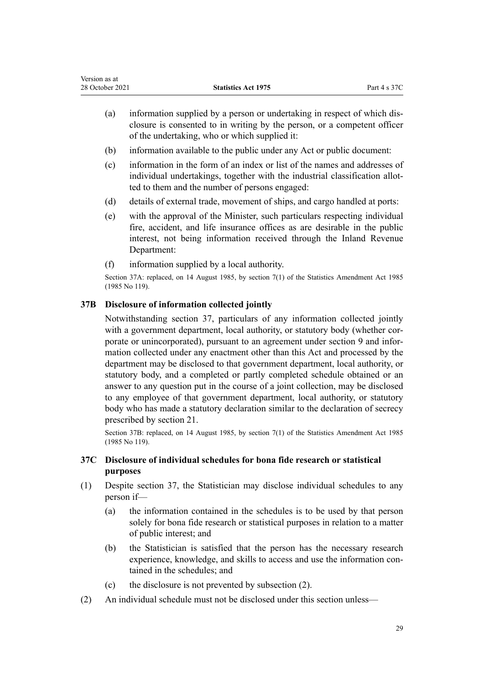- <span id="page-28-0"></span>(a) information supplied by a person or undertaking in respect of which dis‐ closure is consented to in writing by the person, or a competent officer of the undertaking, who or which supplied it:
- (b) information available to the public under any Act or public document:
- (c) information in the form of an index or list of the names and addresses of individual undertakings, together with the industrial classification allot‐ ted to them and the number of persons engaged:
- (d) details of external trade, movement of ships, and cargo handled at ports:
- (e) with the approval of the Minister, such particulars respecting individual fire, accident, and life insurance offices as are desirable in the public interest, not being information received through the Inland Revenue Department:
- (f) information supplied by a local authority.

Section 37A: replaced, on 14 August 1985, by section 7(1) of the Statistics Amendment Act 1985 (1985 No 119).

# **37B Disclosure of information collected jointly**

Notwithstanding [section 37,](#page-27-0) particulars of any information collected jointly with a government department, local authority, or statutory body (whether corporate or unincorporated), pursuant to an agreement under [section 9](#page-8-0) and infor‐ mation collected under any enactment other than this Act and processed by the department may be disclosed to that government department, local authority, or statutory body, and a completed or partly completed schedule obtained or an answer to any question put in the course of a joint collection, may be disclosed to any employee of that government department, local authority, or statutory body who has made a statutory declaration similar to the declaration of secrecy prescribed by [section 21](#page-13-0).

Section 37B: replaced, on 14 August 1985, by section 7(1) of the Statistics Amendment Act 1985 (1985 No 119).

# **37C Disclosure of individual schedules for bona fide research or statistical purposes**

- (1) Despite [section 37,](#page-27-0) the Statistician may disclose individual schedules to any person if—
	- (a) the information contained in the schedules is to be used by that person solely for bona fide research or statistical purposes in relation to a matter of public interest; and
	- (b) the Statistician is satisfied that the person has the necessary research experience, knowledge, and skills to access and use the information contained in the schedules; and
	- (c) the disclosure is not prevented by subsection (2).
- (2) An individual schedule must not be disclosed under this section unless—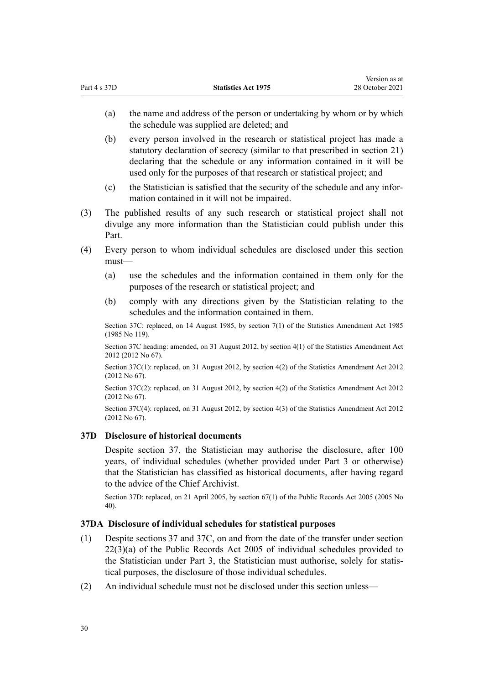<span id="page-29-0"></span>(a) the name and address of the person or undertaking by whom or by which the schedule was supplied are deleted; and

Version as at

- (b) every person involved in the research or statistical project has made a statutory declaration of secrecy (similar to that prescribed in [section 21](#page-13-0)) declaring that the schedule or any information contained in it will be used only for the purposes of that research or statistical project; and
- (c) the Statistician is satisfied that the security of the schedule and any infor‐ mation contained in it will not be impaired.
- (3) The published results of any such research or statistical project shall not divulge any more information than the Statistician could publish under this Part.
- (4) Every person to whom individual schedules are disclosed under this section must—
	- (a) use the schedules and the information contained in them only for the purposes of the research or statistical project; and
	- (b) comply with any directions given by the Statistician relating to the schedules and the information contained in them.

Section 37C: replaced, on 14 August 1985, by section 7(1) of the Statistics Amendment Act 1985 (1985 No 119).

Section 37C heading: amended, on 31 August 2012, by [section 4\(1\)](http://legislation.govt.nz/pdflink.aspx?id=DLM4444707) of the Statistics Amendment Act 2012 (2012 No 67).

Section 37C(1): replaced, on 31 August 2012, by [section 4\(2\)](http://legislation.govt.nz/pdflink.aspx?id=DLM4444707) of the Statistics Amendment Act 2012 (2012 No 67).

Section 37C(2): replaced, on 31 August 2012, by [section 4\(2\)](http://legislation.govt.nz/pdflink.aspx?id=DLM4444707) of the Statistics Amendment Act 2012 (2012 No 67).

Section 37C(4): replaced, on 31 August 2012, by [section 4\(3\)](http://legislation.govt.nz/pdflink.aspx?id=DLM4444707) of the Statistics Amendment Act 2012 (2012 No 67).

## **37D Disclosure of historical documents**

Despite [section 37,](#page-27-0) the Statistician may authorise the disclosure, after 100 years, of individual schedules (whether provided under [Part 3](#page-15-0) or otherwise) that the Statistician has classified as historical documents, after having regard to the advice of the Chief Archivist.

Section 37D: replaced, on 21 April 2005, by [section 67\(1\)](http://legislation.govt.nz/pdflink.aspx?id=DLM346105) of the Public Records Act 2005 (2005 No 40).

#### **37DA Disclosure of individual schedules for statistical purposes**

- (1) Despite [sections 37](#page-27-0) and [37C](#page-28-0), on and from the date of the transfer under [section](http://legislation.govt.nz/pdflink.aspx?id=DLM345739) [22\(3\)\(a\)](http://legislation.govt.nz/pdflink.aspx?id=DLM345739) of the Public Records Act 2005 of individual schedules provided to the Statistician under [Part 3](#page-15-0), the Statistician must authorise, solely for statis‐ tical purposes, the disclosure of those individual schedules.
- (2) An individual schedule must not be disclosed under this section unless—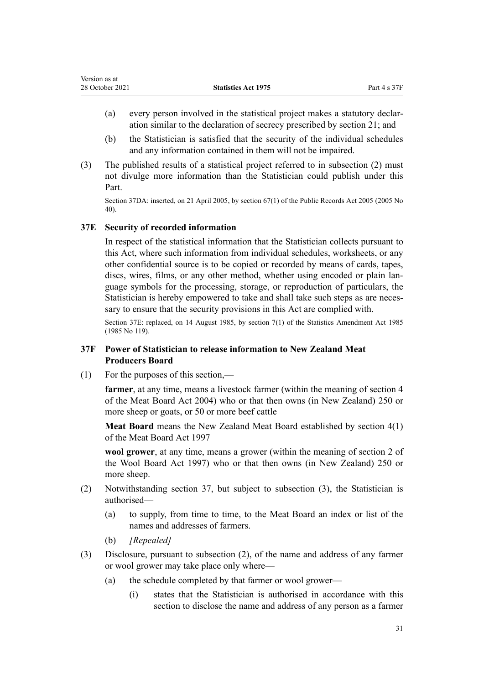<span id="page-30-0"></span>

| Version as at   |                            |              |
|-----------------|----------------------------|--------------|
| 28 October 2021 | <b>Statistics Act 1975</b> | Part 4 s 37F |

- (a) every person involved in the statistical project makes a statutory declar‐ ation similar to the declaration of secrecy prescribed by [section 21](#page-13-0); and
- (b) the Statistician is satisfied that the security of the individual schedules and any information contained in them will not be impaired.
- (3) The published results of a statistical project referred to in subsection (2) must not divulge more information than the Statistician could publish under this Part.

Section 37DA: inserted, on 21 April 2005, by [section 67\(1\)](http://legislation.govt.nz/pdflink.aspx?id=DLM346105) of the Public Records Act 2005 (2005 No 40).

# **37E Security of recorded information**

In respect of the statistical information that the Statistician collects pursuant to this Act, where such information from individual schedules, worksheets, or any other confidential source is to be copied or recorded by means of cards, tapes, discs, wires, films, or any other method, whether using encoded or plain language symbols for the processing, storage, or reproduction of particulars, the Statistician is hereby empowered to take and shall take such steps as are necessary to ensure that the security provisions in this Act are complied with.

Section 37E: replaced, on 14 August 1985, by section 7(1) of the Statistics Amendment Act 1985 (1985 No 119).

# **37F Power of Statistician to release information to New Zealand Meat Producers Board**

(1) For the purposes of this section,—

**farmer**, at any time, means a livestock farmer (within the meaning of section 4 of the Meat Board Act 2004) who or that then owns (in New Zealand) 250 or more sheep or goats, or 50 or more beef cattle

**Meat Board** means the New Zealand Meat Board established by section 4(1) of the Meat Board Act 1997

**wool grower**, at any time, means a grower (within the meaning of section 2 of the Wool Board Act 1997) who or that then owns (in New Zealand) 250 or more sheep.

- (2) Notwithstanding [section 37,](#page-27-0) but subject to subsection (3), the Statistician is authorised—
	- (a) to supply, from time to time, to the Meat Board an index or list of the names and addresses of farmers.
	- (b) *[Repealed]*
- (3) Disclosure, pursuant to subsection (2), of the name and address of any farmer or wool grower may take place only where—
	- (a) the schedule completed by that farmer or wool grower—
		- (i) states that the Statistician is authorised in accordance with this section to disclose the name and address of any person as a farmer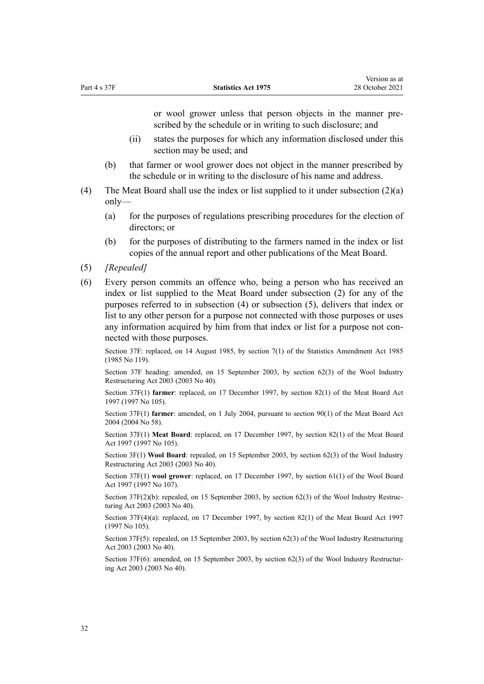or wool grower unless that person objects in the manner pre‐ scribed by the schedule or in writing to such disclosure; and

- (ii) states the purposes for which any information disclosed under this section may be used; and
- (b) that farmer or wool grower does not object in the manner prescribed by the schedule or in writing to the disclosure of his name and address.
- (4) The Meat Board shall use the index or list supplied to it under subsection (2)(a) only—
	- (a) for the purposes of regulations prescribing procedures for the election of directors; or
	- (b) for the purposes of distributing to the farmers named in the index or list copies of the annual report and other publications of the Meat Board.
- (5) *[Repealed]*
- (6) Every person commits an offence who, being a person who has received an index or list supplied to the Meat Board under subsection (2) for any of the purposes referred to in subsection (4) or subsection (5), delivers that index or list to any other person for a purpose not connected with those purposes or uses any information acquired by him from that index or list for a purpose not connected with those purposes.

Section 37F: replaced, on 14 August 1985, by section 7(1) of the Statistics Amendment Act 1985 (1985 No 119).

Section 37F heading: amended, on 15 September 2003, by [section 62\(3\)](http://legislation.govt.nz/pdflink.aspx?id=DLM201327) of the Wool Industry Restructuring Act 2003 (2003 No 40).

Section 37F(1) **farmer**: replaced, on 17 December 1997, by section 82(1) of the Meat Board Act 1997 (1997 No 105).

Section 37F(1) **farmer**: amended, on 1 July 2004, pursuant to [section 90\(1\)](http://legislation.govt.nz/pdflink.aspx?id=DLM302411) of the Meat Board Act 2004 (2004 No 58).

Section 37F(1) **Meat Board**: replaced, on 17 December 1997, by section 82(1) of the Meat Board Act 1997 (1997 No 105).

Section 3F(1) **Wool Board**: repealed, on 15 September 2003, by [section 62\(3\)](http://legislation.govt.nz/pdflink.aspx?id=DLM201327) of the Wool Industry Restructuring Act 2003 (2003 No 40).

Section 37F(1) **wool grower**: replaced, on 17 December 1997, by section 61(1) of the Wool Board Act 1997 (1997 No 107).

Section  $37F(2)(b)$ : repealed, on 15 September 2003, by [section 62\(3\)](http://legislation.govt.nz/pdflink.aspx?id=DLM201327) of the Wool Industry Restructuring Act 2003 (2003 No 40).

Section 37F(4)(a): replaced, on 17 December 1997, by section 82(1) of the Meat Board Act 1997 (1997 No 105).

Section 37F(5): repealed, on 15 September 2003, by [section 62\(3\)](http://legislation.govt.nz/pdflink.aspx?id=DLM201327) of the Wool Industry Restructuring Act 2003 (2003 No 40).

Section 37F(6): amended, on 15 September 2003, by [section 62\(3\)](http://legislation.govt.nz/pdflink.aspx?id=DLM201327) of the Wool Industry Restructuring Act 2003 (2003 No 40).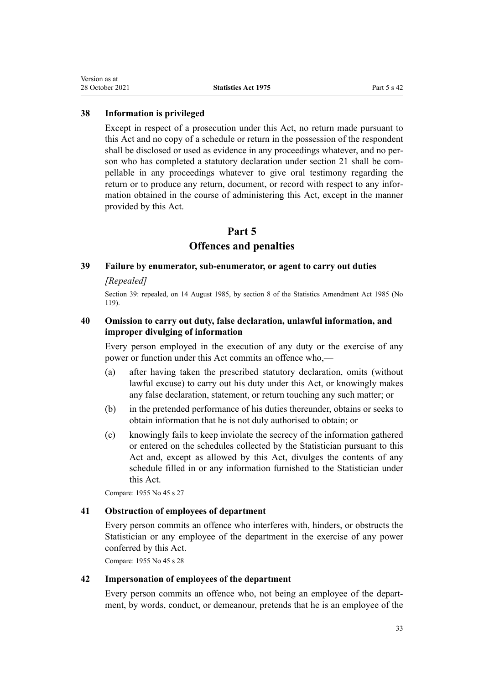#### <span id="page-32-0"></span>**38 Information is privileged**

Except in respect of a prosecution under this Act, no return made pursuant to this Act and no copy of a schedule or return in the possession of the respondent shall be disclosed or used as evidence in any proceedings whatever, and no person who has completed a statutory declaration under [section 21](#page-13-0) shall be compellable in any proceedings whatever to give oral testimony regarding the return or to produce any return, document, or record with respect to any information obtained in the course of administering this Act, except in the manner provided by this Act.

# **Part 5**

# **Offences and penalties**

### **39 Failure by enumerator, sub-enumerator, or agent to carry out duties**

### *[Repealed]*

Section 39: repealed, on 14 August 1985, by section 8 of the Statistics Amendment Act 1985 (No 119).

# **40 Omission to carry out duty, false declaration, unlawful information, and improper divulging of information**

Every person employed in the execution of any duty or the exercise of any power or function under this Act commits an offence who,—

- (a) after having taken the prescribed statutory declaration, omits (without lawful excuse) to carry out his duty under this Act, or knowingly makes any false declaration, statement, or return touching any such matter; or
- (b) in the pretended performance of his duties thereunder, obtains or seeks to obtain information that he is not duly authorised to obtain; or
- (c) knowingly fails to keep inviolate the secrecy of the information gathered or entered on the schedules collected by the Statistician pursuant to this Act and, except as allowed by this Act, divulges the contents of any schedule filled in or any information furnished to the Statistician under this Act.

Compare: 1955 No 45 s 27

# **41 Obstruction of employees of department**

Every person commits an offence who interferes with, hinders, or obstructs the Statistician or any employee of the department in the exercise of any power conferred by this Act.

Compare: 1955 No 45 s 28

#### **42 Impersonation of employees of the department**

Every person commits an offence who, not being an employee of the depart‐ ment, by words, conduct, or demeanour, pretends that he is an employee of the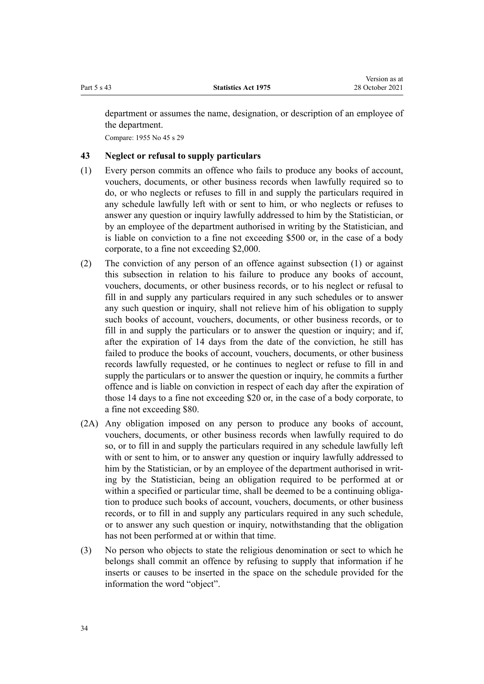<span id="page-33-0"></span>department or assumes the name, designation, or description of an employee of the department.

Compare: 1955 No 45 s 29

# **43 Neglect or refusal to supply particulars**

- (1) Every person commits an offence who fails to produce any books of account, vouchers, documents, or other business records when lawfully required so to do, or who neglects or refuses to fill in and supply the particulars required in any schedule lawfully left with or sent to him, or who neglects or refuses to answer any question or inquiry lawfully addressed to him by the Statistician, or by an employee of the department authorised in writing by the Statistician, and is liable on conviction to a fine not exceeding \$500 or, in the case of a body corporate, to a fine not exceeding \$2,000.
- (2) The conviction of any person of an offence against subsection (1) or against this subsection in relation to his failure to produce any books of account, vouchers, documents, or other business records, or to his neglect or refusal to fill in and supply any particulars required in any such schedules or to answer any such question or inquiry, shall not relieve him of his obligation to supply such books of account, vouchers, documents, or other business records, or to fill in and supply the particulars or to answer the question or inquiry; and if, after the expiration of 14 days from the date of the conviction, he still has failed to produce the books of account, vouchers, documents, or other business records lawfully requested, or he continues to neglect or refuse to fill in and supply the particulars or to answer the question or inquiry, he commits a further offence and is liable on conviction in respect of each day after the expiration of those 14 days to a fine not exceeding \$20 or, in the case of a body corporate, to a fine not exceeding \$80.
- (2A) Any obligation imposed on any person to produce any books of account, vouchers, documents, or other business records when lawfully required to do so, or to fill in and supply the particulars required in any schedule lawfully left with or sent to him, or to answer any question or inquiry lawfully addressed to him by the Statistician, or by an employee of the department authorised in writing by the Statistician, being an obligation required to be performed at or within a specified or particular time, shall be deemed to be a continuing obligation to produce such books of account, vouchers, documents, or other business records, or to fill in and supply any particulars required in any such schedule, or to answer any such question or inquiry, notwithstanding that the obligation has not been performed at or within that time.
- (3) No person who objects to state the religious denomination or sect to which he belongs shall commit an offence by refusing to supply that information if he inserts or causes to be inserted in the space on the schedule provided for the information the word "object".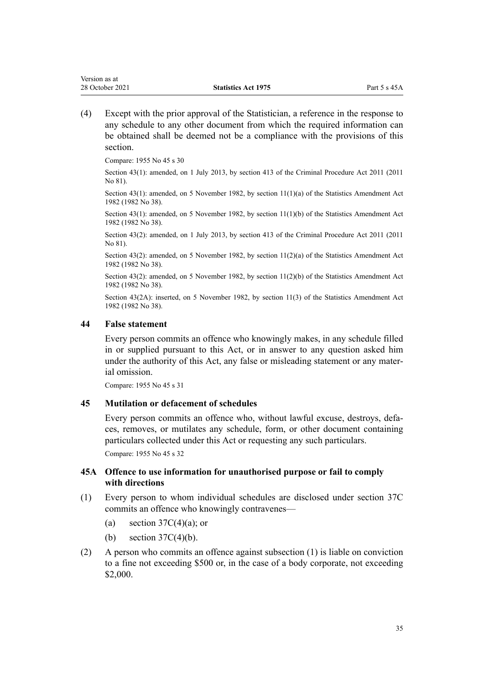<span id="page-34-0"></span>(4) Except with the prior approval of the Statistician, a reference in the response to any schedule to any other document from which the required information can be obtained shall be deemed not be a compliance with the provisions of this section.

Compare: 1955 No 45 s 30

Section 43(1): amended, on 1 July 2013, by [section 413](http://legislation.govt.nz/pdflink.aspx?id=DLM3360714) of the Criminal Procedure Act 2011 (2011 No 81).

Section 43(1): amended, on 5 November 1982, by section 11(1)(a) of the Statistics Amendment Act 1982 (1982 No 38).

Section 43(1): amended, on 5 November 1982, by section 11(1)(b) of the Statistics Amendment Act 1982 (1982 No 38).

Section 43(2): amended, on 1 July 2013, by [section 413](http://legislation.govt.nz/pdflink.aspx?id=DLM3360714) of the Criminal Procedure Act 2011 (2011 No 81).

Section 43(2): amended, on 5 November 1982, by section  $11(2)(a)$  of the Statistics Amendment Act 1982 (1982 No 38).

Section 43(2): amended, on 5 November 1982, by section 11(2)(b) of the Statistics Amendment Act 1982 (1982 No 38).

Section 43(2A): inserted, on 5 November 1982, by section 11(3) of the Statistics Amendment Act 1982 (1982 No 38).

#### **44 False statement**

Every person commits an offence who knowingly makes, in any schedule filled in or supplied pursuant to this Act, or in answer to any question asked him under the authority of this Act, any false or misleading statement or any material omission.

Compare: 1955 No 45 s 31

## **45 Mutilation or defacement of schedules**

Every person commits an offence who, without lawful excuse, destroys, defaces, removes, or mutilates any schedule, form, or other document containing particulars collected under this Act or requesting any such particulars.

Compare: 1955 No 45 s 32

## **45A Offence to use information for unauthorised purpose or fail to comply with directions**

- (1) Every person to whom individual schedules are disclosed under [section 37C](#page-28-0) commits an offence who knowingly contravenes—
	- (a) section  $37C(4)(a)$ ; or
	- (b) section  $37C(4)(b)$ .
- (2) A person who commits an offence against subsection (1) is liable on conviction to a fine not exceeding \$500 or, in the case of a body corporate, not exceeding \$2,000.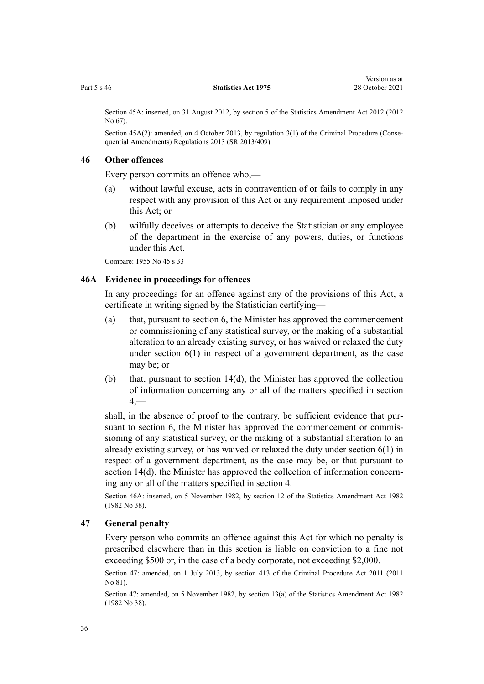<span id="page-35-0"></span>Section 45A: inserted, on 31 August 2012, by [section 5](http://legislation.govt.nz/pdflink.aspx?id=DLM4444708) of the Statistics Amendment Act 2012 (2012 No 67).

Section 45A(2): amended, on 4 October 2013, by [regulation 3\(1\)](http://legislation.govt.nz/pdflink.aspx?id=DLM5642106) of the Criminal Procedure (Consequential Amendments) Regulations 2013 (SR 2013/409).

#### **46 Other offences**

Every person commits an offence who,—

- (a) without lawful excuse, acts in contravention of or fails to comply in any respect with any provision of this Act or any requirement imposed under this Act; or
- (b) wilfully deceives or attempts to deceive the Statistician or any employee of the department in the exercise of any powers, duties, or functions under this Act.

Compare: 1955 No 45 s 33

### **46A Evidence in proceedings for offences**

In any proceedings for an offence against any of the provisions of this Act, a certificate in writing signed by the Statistician certifying—

- (a) that, pursuant to [section 6,](#page-7-0) the Minister has approved the commencement or commissioning of any statistical survey, or the making of a substantial alteration to an already existing survey, or has waived or relaxed the duty under section  $6(1)$  in respect of a government department, as the case may be; or
- (b) that, pursuant to [section 14\(d\)](#page-9-0), the Minister has approved the collection of information concerning any or all of the matters specified in [section](#page-5-0)  $4-$

shall, in the absence of proof to the contrary, be sufficient evidence that pursuant to [section 6,](#page-7-0) the Minister has approved the commencement or commissioning of any statistical survey, or the making of a substantial alteration to an already existing survey, or has waived or relaxed the duty under section 6(1) in respect of a government department, as the case may be, or that pursuant to [section 14\(d\),](#page-9-0) the Minister has approved the collection of information concerning any or all of the matters specified in [section 4.](#page-5-0)

Section 46A: inserted, on 5 November 1982, by section 12 of the Statistics Amendment Act 1982 (1982 No 38).

## **47 General penalty**

Every person who commits an offence against this Act for which no penalty is prescribed elsewhere than in this section is liable on conviction to a fine not exceeding \$500 or, in the case of a body corporate, not exceeding \$2,000.

Section 47: amended, on 1 July 2013, by [section 413](http://legislation.govt.nz/pdflink.aspx?id=DLM3360714) of the Criminal Procedure Act 2011 (2011 No 81).

Section 47: amended, on 5 November 1982, by section 13(a) of the Statistics Amendment Act 1982 (1982 No 38).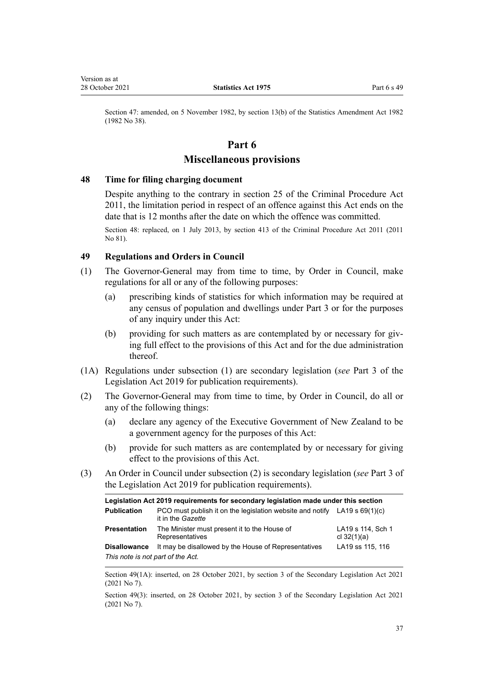<span id="page-36-0"></span>Section 47: amended, on 5 November 1982, by section 13(b) of the Statistics Amendment Act 1982 (1982 No 38).

# **Part 6**

# **Miscellaneous provisions**

#### **48 Time for filing charging document**

Despite anything to the contrary in [section 25](http://legislation.govt.nz/pdflink.aspx?id=DLM3360067) of the Criminal Procedure Act 2011, the limitation period in respect of an offence against this Act ends on the date that is 12 months after the date on which the offence was committed.

Section 48: replaced, on 1 July 2013, by [section 413](http://legislation.govt.nz/pdflink.aspx?id=DLM3360714) of the Criminal Procedure Act 2011 (2011 No 81).

## **49 Regulations and Orders in Council**

- (1) The Governor-General may from time to time, by Order in Council, make regulations for all or any of the following purposes:
	- (a) prescribing kinds of statistics for which information may be required at any census of population and dwellings under [Part 3](#page-15-0) or for the purposes of any inquiry under this Act:
	- (b) providing for such matters as are contemplated by or necessary for giving full effect to the provisions of this Act and for the due administration thereof.
- (1A) Regulations under subsection (1) are secondary legislation (*see* [Part 3](http://legislation.govt.nz/pdflink.aspx?id=DLM7298343) of the Legislation Act 2019 for publication requirements).
- (2) The Governor-General may from time to time, by Order in Council, do all or any of the following things:
	- (a) declare any agency of the Executive Government of New Zealand to be a government agency for the purposes of this Act:
	- (b) provide for such matters as are contemplated by or necessary for giving effect to the provisions of this Act.
- (3) An Order in Council under subsection (2) is secondary legislation (*see* [Part 3](http://legislation.govt.nz/pdflink.aspx?id=DLM7298343) of the Legislation Act 2019 for publication requirements).

| Legislation Act 2019 requirements for secondary legislation made under this section |                                                                                                         |                                    |  |
|-------------------------------------------------------------------------------------|---------------------------------------------------------------------------------------------------------|------------------------------------|--|
| <b>Publication</b>                                                                  | PCO must publish it on the legislation website and notify LA19 s $69(1)(c)$<br>it in the <i>Gazette</i> |                                    |  |
| <b>Presentation</b>                                                                 | The Minister must present it to the House of<br>Representatives                                         | LA19 s 114, Sch 1<br>cl $32(1)(a)$ |  |
| <b>Disallowance</b>                                                                 | It may be disallowed by the House of Representatives                                                    | LA19 ss 115, 116                   |  |
| This note is not part of the Act.                                                   |                                                                                                         |                                    |  |

Section 49(1A): inserted, on 28 October 2021, by [section 3](http://legislation.govt.nz/pdflink.aspx?id=LMS268932) of the Secondary Legislation Act 2021 (2021 No 7).

Section 49(3): inserted, on 28 October 2021, by [section 3](http://legislation.govt.nz/pdflink.aspx?id=LMS268932) of the Secondary Legislation Act 2021 (2021 No 7).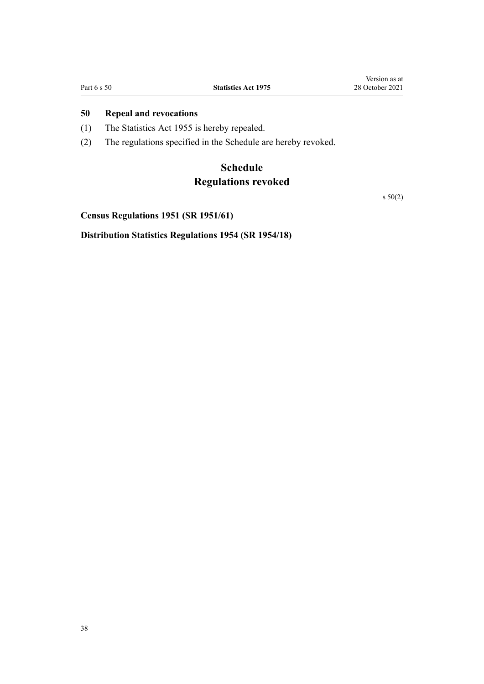# <span id="page-37-0"></span>**50 Repeal and revocations**

- (1) The Statistics Act 1955 is hereby repealed.
- (2) The regulations specified in the Schedule are hereby revoked.

# **Schedule Regulations revoked**

s 50(2)

**Census Regulations 1951 (SR 1951/61)**

**Distribution Statistics Regulations 1954 (SR 1954/18)**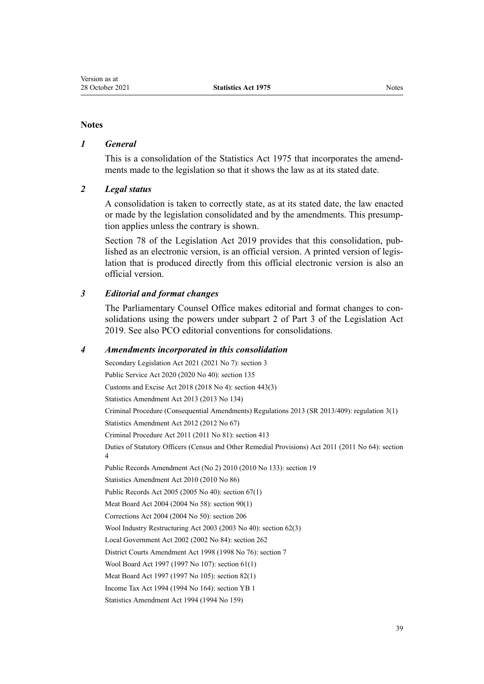#### **Notes**

## *1 General*

This is a consolidation of the Statistics Act 1975 that incorporates the amend‐ ments made to the legislation so that it shows the law as at its stated date.

#### *2 Legal status*

A consolidation is taken to correctly state, as at its stated date, the law enacted or made by the legislation consolidated and by the amendments. This presump‐ tion applies unless the contrary is shown.

[Section 78](http://legislation.govt.nz/pdflink.aspx?id=DLM7298365) of the Legislation Act 2019 provides that this consolidation, pub‐ lished as an electronic version, is an official version. A printed version of legis‐ lation that is produced directly from this official electronic version is also an official version.

### *3 Editorial and format changes*

The Parliamentary Counsel Office makes editorial and format changes to consolidations using the powers under [subpart 2](http://legislation.govt.nz/pdflink.aspx?id=DLM7298371) of Part 3 of the Legislation Act 2019. See also [PCO editorial conventions for consolidations](http://www.pco.govt.nz/editorial-conventions/).

#### *4 Amendments incorporated in this consolidation*

Secondary Legislation Act 2021 (2021 No 7): [section 3](http://legislation.govt.nz/pdflink.aspx?id=LMS268932) Public Service Act 2020 (2020 No 40): [section 135](http://legislation.govt.nz/pdflink.aspx?id=LMS176959) Customs and Excise Act 2018 (2018 No 4): [section 443\(3\)](http://legislation.govt.nz/pdflink.aspx?id=DLM7039957) [Statistics Amendment Act 2013](http://legislation.govt.nz/pdflink.aspx?id=DLM5627700) (2013 No 134) Criminal Procedure (Consequential Amendments) Regulations 2013 (SR 2013/409): [regulation 3\(1\)](http://legislation.govt.nz/pdflink.aspx?id=DLM5642106) [Statistics Amendment Act 2012](http://legislation.govt.nz/pdflink.aspx?id=DLM4444702) (2012 No 67) Criminal Procedure Act 2011 (2011 No 81): [section 413](http://legislation.govt.nz/pdflink.aspx?id=DLM3360714) Duties of Statutory Officers (Census and Other Remedial Provisions) Act 2011 (2011 No 64): [section](http://legislation.govt.nz/pdflink.aspx?id=DLM3921576) [4](http://legislation.govt.nz/pdflink.aspx?id=DLM3921576) Public Records Amendment Act (No 2) 2010 (2010 No 133): [section 19](http://legislation.govt.nz/pdflink.aspx?id=DLM3431136) [Statistics Amendment Act 2010](http://legislation.govt.nz/pdflink.aspx?id=DLM3044400) (2010 No 86) Public Records Act 2005 (2005 No 40): [section 67\(1\)](http://legislation.govt.nz/pdflink.aspx?id=DLM346105) Meat Board Act 2004 (2004 No 58): [section 90\(1\)](http://legislation.govt.nz/pdflink.aspx?id=DLM302411) Corrections Act 2004 (2004 No 50): [section 206](http://legislation.govt.nz/pdflink.aspx?id=DLM297136) Wool Industry Restructuring Act 2003 (2003 No 40): [section 62\(3\)](http://legislation.govt.nz/pdflink.aspx?id=DLM201327) Local Government Act 2002 (2002 No 84): [section 262](http://legislation.govt.nz/pdflink.aspx?id=DLM174088) District Courts Amendment Act 1998 (1998 No 76): [section 7](http://legislation.govt.nz/pdflink.aspx?id=DLM427920) Wool Board Act 1997 (1997 No 107): section 61(1) Meat Board Act 1997 (1997 No 105): section 82(1) [Income Tax Act 1994](http://legislation.govt.nz/pdflink.aspx?id=DLM1184504) (1994 No 164): section YB 1

[Statistics Amendment Act 1994](http://legislation.govt.nz/pdflink.aspx?id=DLM347436) (1994 No 159)